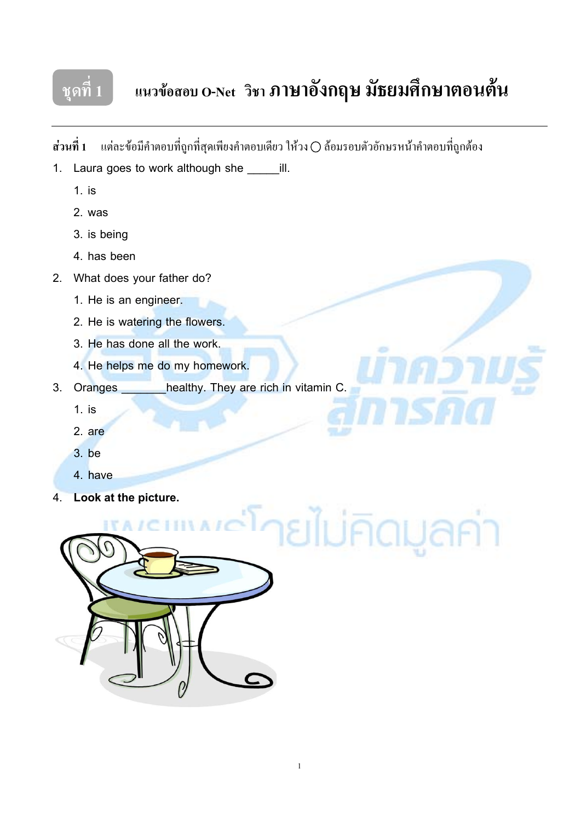

## $\frac{1}{3}$ ชุดที่ 1 **| แนวข้อสอบ O-Net วิชา ภาษาอังกฤษ มัธยมศึกษาตอนต้น**

**ส่วนที่ 1** แต่ละข้อมีกำตอบที่ถูกที่สุดเพียงกำตอบเดียว ให้วง () ล้อมรอบตัวอักษรหน้ากำตอบที่ถูกต้อง

- 1. Laura goes to work although she \_\_\_\_\_\_ill.
	- 1. is
	- 2. was
	- 3. is being
	- 4. has been
- 2. What does your father do?
	- 1. He is an engineer.
	- 2. He is watering the flowers.
	- 3. He has done all the work.
	- 4. He helps me do my homework.
- 3. Oranges \_\_\_\_\_\_\_healthy. They are rich in vitamin C.
	- 1. is
	- 2. are
	- 3. be
	- 4. have
- 4. **Look at the picture.**

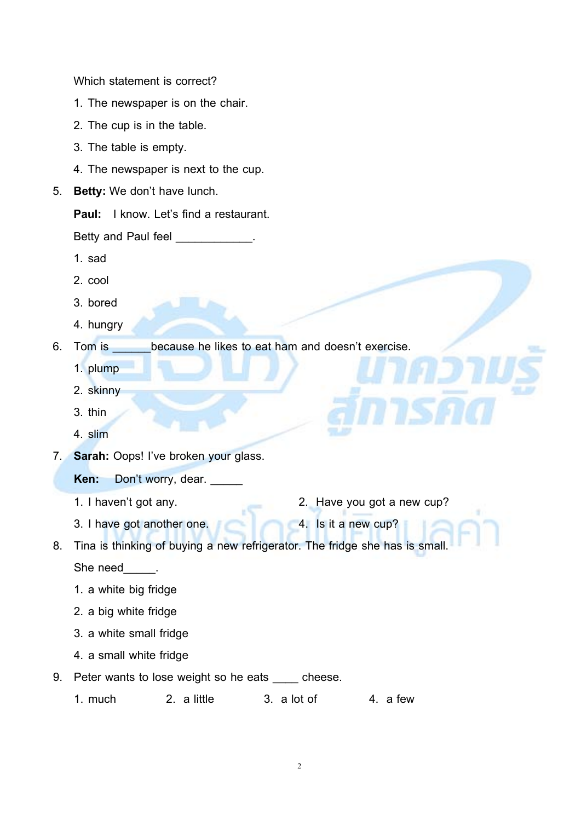Which statement is correct?

- 1. The newspaper is on the chair.
- 2. The cup is in the table.
- 3. The table is empty.
- 4. The newspaper is next to the cup.
- 5. **Betty:** We don't have lunch.

**Paul:** I know. Let's find a restaurant.

Betty and Paul feel **Example 20** Fig.

- 1. sad
- 2. cool
- 3. bored
- 4. hungry

6. Tom is because he likes to eat ham and doesn't exercise.

- 1. plump
- 2. skinny
- 3. thin
- 4. slim
- 7. **Sarah:** Oops! I've broken your glass.
	- **Ken:** Don't worry, dear.
	- 1. I haven't got any. 2. Have you got a new cup?
	- 3. I have got another one. **4.** Is it a new cup?
- 8. Tina is thinking of buying a new refrigerator. The fridge she has is small.

She need \_\_\_\_\_.

- 1. a white big fridge
- 2. a big white fridge
- 3. a white small fridge
- 4. a small white fridge
- 9. Peter wants to lose weight so he eats cheese.

1. much 2. a little 3. a lot of 4. a few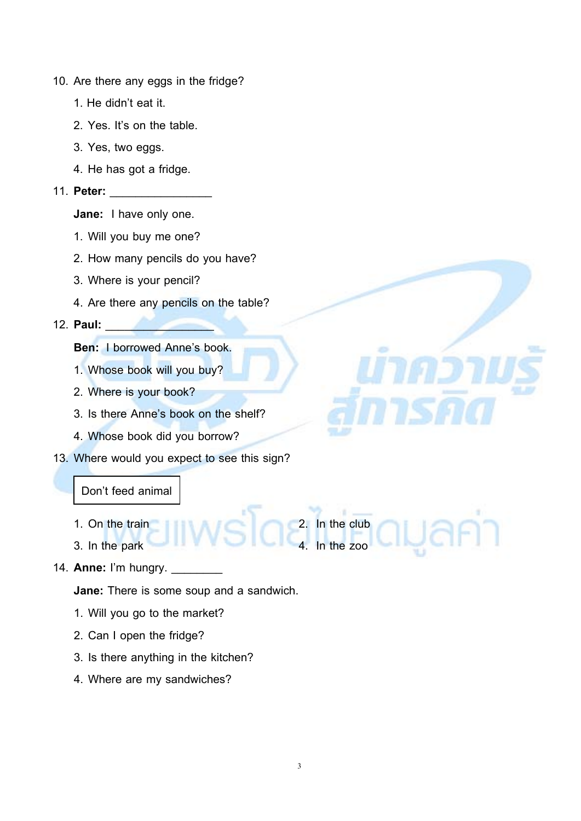- 10. Are there any eggs in the fridge?
	- 1. He didn't eat it.
	- 2. Yes. It's on the table.
	- 3. Yes, two eggs.
	- 4. He has got a fridge.

#### 11. **Peter:** \_\_\_\_\_\_\_\_\_\_\_\_\_\_\_\_

- **Jane:** I have only one.
- 1. Will you buy me one?
- 2. How many pencils do you have?
- 3. Where is your pencil?
- 4. Are there any pencils on the table?

#### 12. **Paul:** \_\_\_\_\_\_\_\_\_\_\_\_\_\_\_\_\_

**Ben:** I borrowed Anne's book.

- 1. Whose book will you buy?
- 2. Where is your book?
- 3. Is there Anne's book on the shelf?
- 4. Whose book did you borrow?
- 13. Where would you expect to see this sign?

#### Don't feed animal

- 1. On the train 2. In the club
- 3. In the park **4. In the zoo**
- 14. **Anne:** I'm hungry.

**Jane:** There is some soup and a sandwich.

- 1. Will you go to the market?
- 2. Can I open the fridge?
- 3. Is there anything in the kitchen?
- 4. Where are my sandwiches?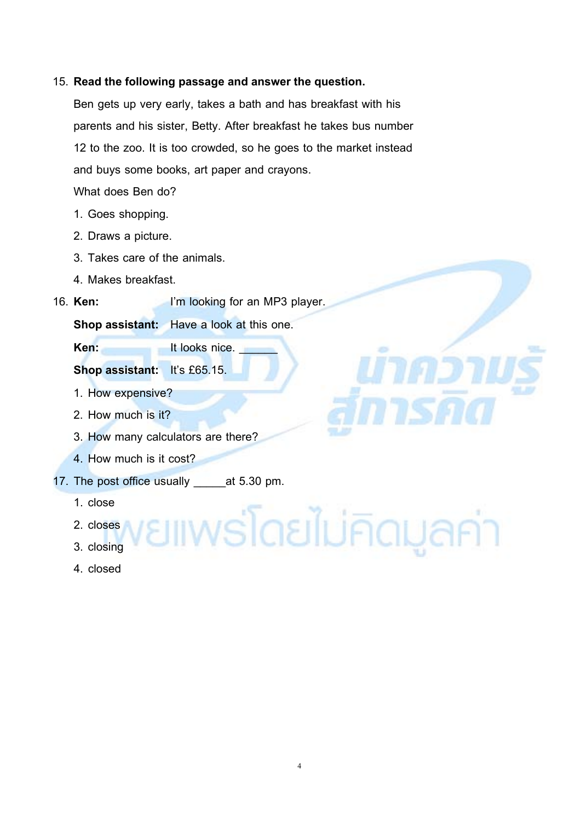#### 15. **Read the following passage and answer the question.**

Ben gets up very early, takes a bath and has breakfast with his parents and his sister, Betty. After breakfast he takes bus number 12 to the zoo. It is too crowded, so he goes to the market instead and buys some books, art paper and crayons.

What does Ben do?

- 1. Goes shopping.
- 2. Draws a picture.
- 3. Takes care of the animals.
- 4. Makes breakfast.
- 16. **Ken:** I'm looking for an MP3 player.

**Shop assistant:** Have a look at this one.

**Ken:** It looks nice.

**Shop assistant:** It's £65.15.

- 1. How expensive?
- 2. How much is it?
- 3. How many calculators are there?
- 4. How much is it cost?
- 17. The post office usually eat 5.30 pm.
	- 1. close
	- 2. closes
	- 3. closing
	- 4. closed

<u> เพร่โดยไม่คิดมูลค่า</u>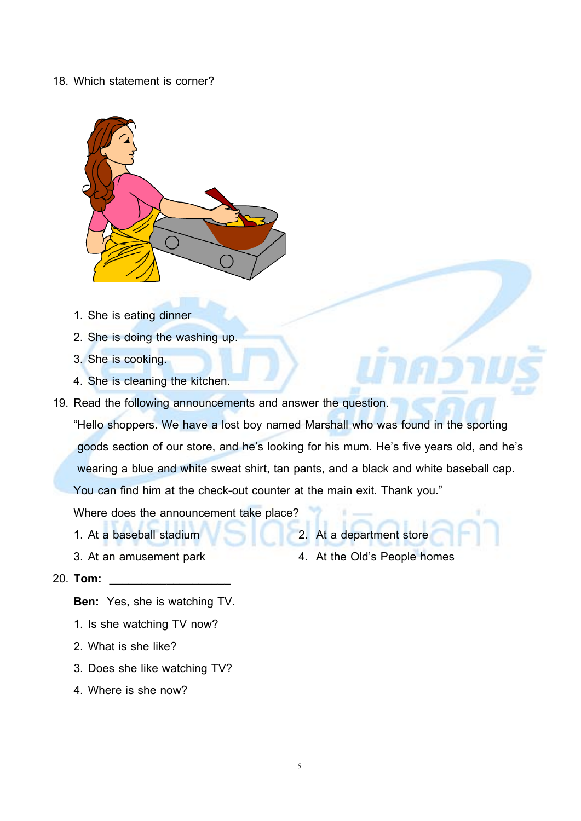#### 18. Which statement is corner?



- 1. She is eating dinner
- 2. She is doing the washing up.
- 3. She is cooking.
- 4. She is cleaning the kitchen.
- 19. Read the following announcements and answer the question.

"Hello shoppers. We have a lost boy named Marshall who was found in the sporting goods section of our store, and he's looking for his mum. He's five years old, and he's wearing a blue and white sweat shirt, tan pants, and a black and white baseball cap. You can find him at the check-out counter at the main exit. Thank you."

Where does the announcement take place?

- 1. At a baseball stadium 2. At a department store
- 
- 20. **Tom:** \_\_\_\_\_\_\_\_\_\_\_\_\_\_\_\_\_\_\_

**Ben:** Yes, she is watching TV.

- 1. Is she watching TV now?
- 2. What is she like?
- 3. Does she like watching TV?
- 4. Where is she now?
- 
- 3. At an amusement park 4. At the Old's People homes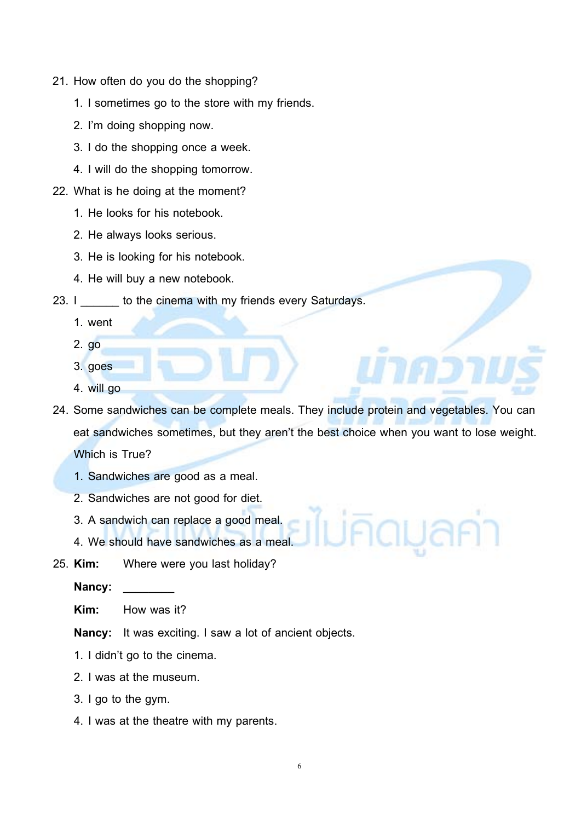- 21. How often do you do the shopping?
	- 1. I sometimes go to the store with my friends.
	- 2. I'm doing shopping now.
	- 3. I do the shopping once a week.
	- 4. I will do the shopping tomorrow.
- 22. What is he doing at the moment?
	- 1. He looks for his notebook.
	- 2. He always looks serious.
	- 3. He is looking for his notebook.
	- 4. He will buy a new notebook.

#### 23. I \_\_\_\_\_\_ to the cinema with my friends every Saturdays.

- 1. went
- 2. go
- 3. goes
- 4. will go
- 24. Some sandwiches can be complete meals. They include protein and vegetables. You can eat sandwiches sometimes, but they aren't the best choice when you want to lose weight. Which is True?
	- 1. Sandwiches are good as a meal.
	- 2. Sandwiches are not good for diet.
	- 3. A sandwich can replace a good meal.
	- 4. We should have sandwiches as a meal.
- 25. **Kim:** Where were you last holiday?

Nancy:

**Kim:** How was it?

**Nancy:** It was exciting. I saw a lot of ancient objects.

- 1. I didn't go to the cinema.
- 2. I was at the museum.
- 3. I go to the gym.
- 4. I was at the theatre with my parents.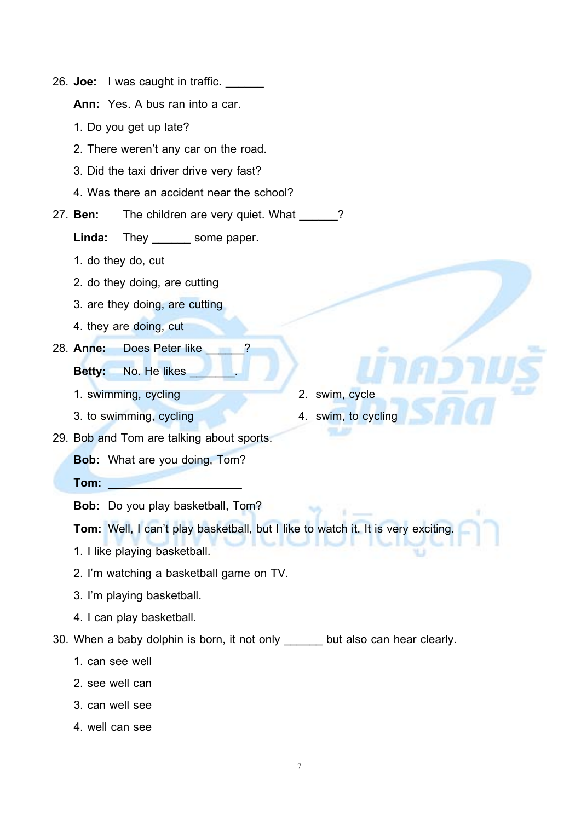| I was caught in traffic. ___<br>26. <b>Joe:</b>                                  |  |  |  |  |  |
|----------------------------------------------------------------------------------|--|--|--|--|--|
| Ann: Yes. A bus ran into a car.                                                  |  |  |  |  |  |
| 1. Do you get up late?                                                           |  |  |  |  |  |
| 2. There weren't any car on the road.                                            |  |  |  |  |  |
| 3. Did the taxi driver drive very fast?                                          |  |  |  |  |  |
| 4. Was there an accident near the school?                                        |  |  |  |  |  |
| 27. Ben:<br>The children are very quiet. What                                    |  |  |  |  |  |
| Linda:<br>They ________ some paper.                                              |  |  |  |  |  |
| 1. do they do, cut                                                               |  |  |  |  |  |
| 2. do they doing, are cutting                                                    |  |  |  |  |  |
| 3. are they doing, are cutting                                                   |  |  |  |  |  |
| 4. they are doing, cut                                                           |  |  |  |  |  |
| 28. Anne:<br>Does Peter like                                                     |  |  |  |  |  |
| No. He likes<br><b>Betty:</b>                                                    |  |  |  |  |  |
| 2. swim, cycle<br>1. swimming, cycling                                           |  |  |  |  |  |
| 3. to swimming, cycling<br>4. swim, to cycling                                   |  |  |  |  |  |
| 29. Bob and Tom are talking about sports.                                        |  |  |  |  |  |
| <b>Bob:</b> What are you doing, Tom?                                             |  |  |  |  |  |
| Tom:                                                                             |  |  |  |  |  |
| Bob: Do you play basketball, Tom?                                                |  |  |  |  |  |
| Tom: Well, I can't play basketball, but I like to watch it. It is very exciting. |  |  |  |  |  |
| 1. I like playing basketball.                                                    |  |  |  |  |  |
| 2. I'm watching a basketball game on TV.                                         |  |  |  |  |  |
| 3. I'm playing basketball.                                                       |  |  |  |  |  |
| 4. I can play basketball.                                                        |  |  |  |  |  |
| 30. When a baby dolphin is born, it not only ______ but also can hear clearly.   |  |  |  |  |  |
| 1. can see well                                                                  |  |  |  |  |  |
| 2. see well can                                                                  |  |  |  |  |  |
| 3. can well see                                                                  |  |  |  |  |  |
| 4. well can see                                                                  |  |  |  |  |  |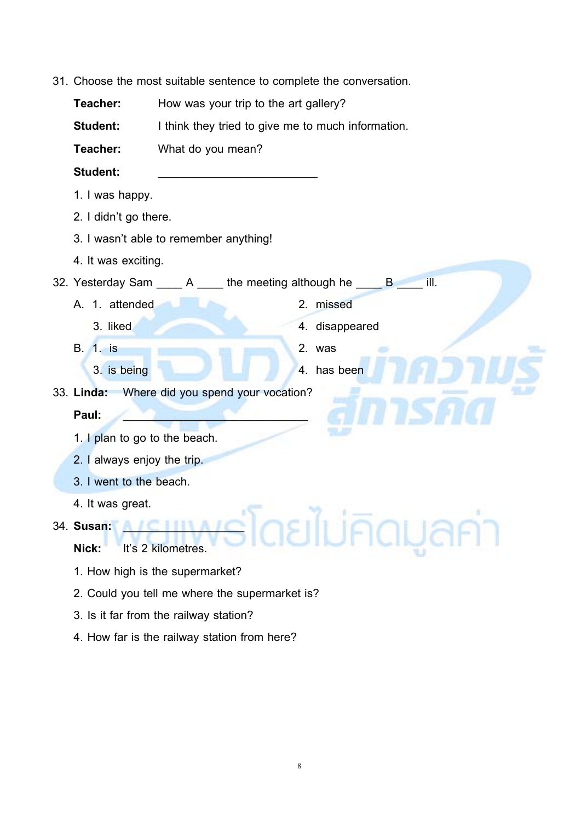31. Choose the most suitable sentence to complete the conversation.

**Teacher:** How was your trip to the art gallery?

**Student:** I think they tried to give me to much information.

**Teacher:** What do you mean?

Student:

- 1. I was happy.
- 2. I didn't go there.
- 3. I wasn't able to remember anything!
- 4. It was exciting.

32. Yesterday Sam A the meeting although he B ill.

- A. 1. attended 2. missed
	- 3. liked 4. disappeared
- B. 1. is 2. was
	- 3. is being 1. and 1. and 1. and 1. and 1. and 1. and 1. and 1. and 1. and 1. and 1. and 1. and 1. and 1. and 1. and 1. and 1. and 1. and 1. and 1. and 1. and 1. and 1. and 1. and 1. and 1. and 1. and 1. and 1. and 1. and

33. **Linda:** Where did you spend your vocation?

### **Paul:** \_\_\_\_\_\_\_\_\_\_\_\_\_\_\_\_\_\_\_\_\_\_\_\_\_\_\_\_\_

- 1. I plan to go to the beach.
- 2. I always enjoy the trip.
- 3. I went to the beach.
- 4. It was great.
- 34. **Susan:** \_\_\_\_\_\_\_\_\_\_\_\_\_\_\_\_\_\_\_
	- **Nick:** It's 2 kilometres.
	- 1. How high is the supermarket?
	- 2. Could you tell me where the supermarket is?
	- 3. Is it far from the railway station?
	- 4. How far is the railway station from here?

ยไม่คิดมู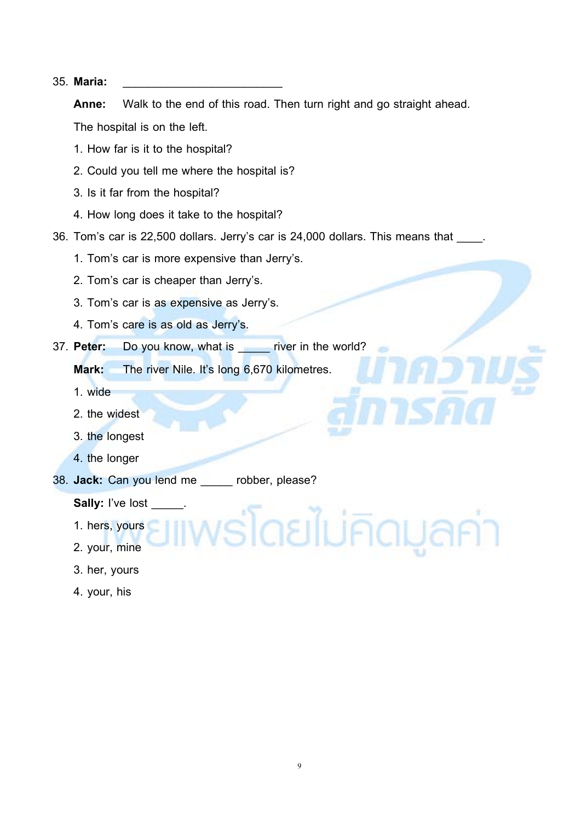#### 35. **Maria:** \_\_\_\_\_\_\_\_\_\_\_\_\_\_\_\_\_\_\_\_\_\_\_\_\_

**Anne:** Walk to the end of this road. Then turn right and go straight ahead. The hospital is on the left.

- 1. How far is it to the hospital?
- 2. Could you tell me where the hospital is?
- 3. Is it far from the hospital?
- 4. How long does it take to the hospital?
- 36. Tom's car is 22,500 dollars. Jerry's car is 24,000 dollars. This means that
	- 1. Tom's car is more expensive than Jerry's.
	- 2. Tom's car is cheaper than Jerry's.
	- 3. Tom's car is as expensive as Jerry's.
	- 4. Tom's care is as old as Jerry's.
- 37. **Peter:** Do you know, what is \_\_\_\_\_ river in the world?

**Mark:** The river Nile. It's long 6,670 kilometres.

- 1. wide
- 2. the widest
- 3. the longest
- 4. the longer
- 38. **Jack:** Can you lend me \_\_\_\_\_ robber, please?

**Sally:** I've lost \_\_\_\_\_.

- 1. hers, yours
- 2. your, mine
- 3. her, yours
- 4. your, his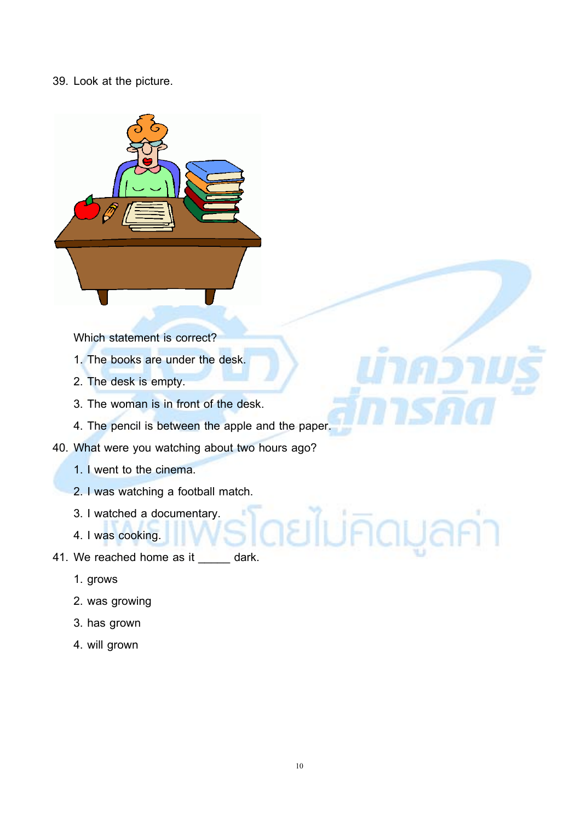#### 39. Look at the picture.



Which statement is correct?

- 1. The books are under the desk.
- 2. The desk is empty.
- 3. The woman is in front of the desk.
- 4. The pencil is between the apple and the paper.
- 40. What were you watching about two hours ago?
	- 1. I went to the cinema.
	- 2. I was watching a football match.
	- 3. I watched a documentary.
	- 4. I was cooking.
- 3. I watched a documentary.<br>4. I was cooking.<br>41. We reached home as it \_\_\_\_\_ dark.
	- 1. grows
	- 2. was growing
	- 3. has grown
	- 4. will grown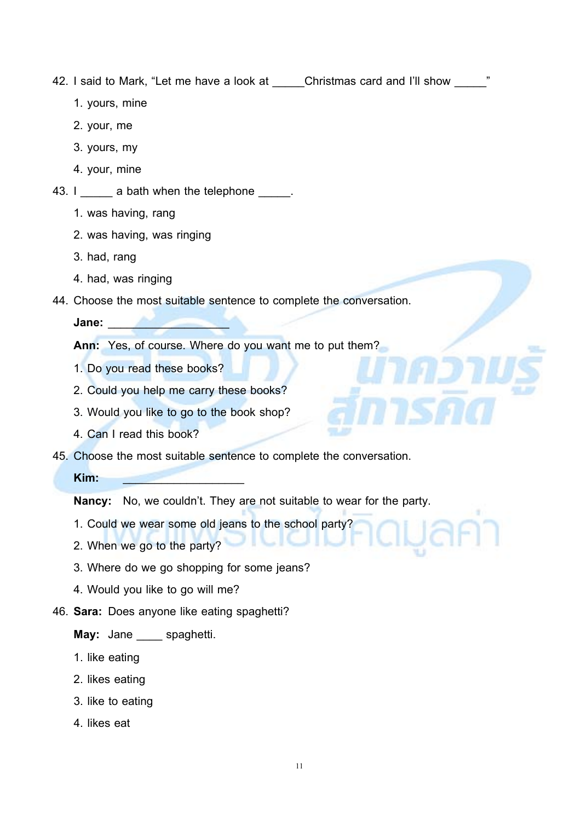42. I said to Mark, "Let me have a look at \_\_\_\_\_Christmas card and I'll show \_\_\_\_\_"

- 1. yours, mine
- 2. your, me
- 3. yours, my
- 4. your, mine
- 43. I \_\_\_\_\_\_ a bath when the telephone \_\_\_\_\_.
	- 1. was having, rang
	- 2. was having, was ringing
	- 3. had, rang
	- 4. had, was ringing
- 44. Choose the most suitable sentence to complete the conversation.

**Jane:** \_\_\_\_\_\_\_\_\_\_\_\_\_\_\_\_\_\_\_

**Ann:** Yes, of course. Where do you want me to put them?

- 1. Do you read these books?
- 2. Could you help me carry these books?
- 3. Would you like to go to the book shop?
- 4. Can I read this book?
- 45. Choose the most suitable sentence to complete the conversation.

**Kim:** \_\_\_\_\_\_\_\_\_\_\_\_\_\_\_\_\_\_\_

**Nancy:** No, we couldn't. They are not suitable to wear for the party.

- 1. Could we wear some old jeans to the school party?
- 2. When we go to the party?
- 3. Where do we go shopping for some jeans?
- 4. Would you like to go will me?
- 46. **Sara:** Does anyone like eating spaghetti?

#### **May:** Jane spaghetti.

- 1. like eating
- 2. likes eating
- 3. like to eating
- 4. likes eat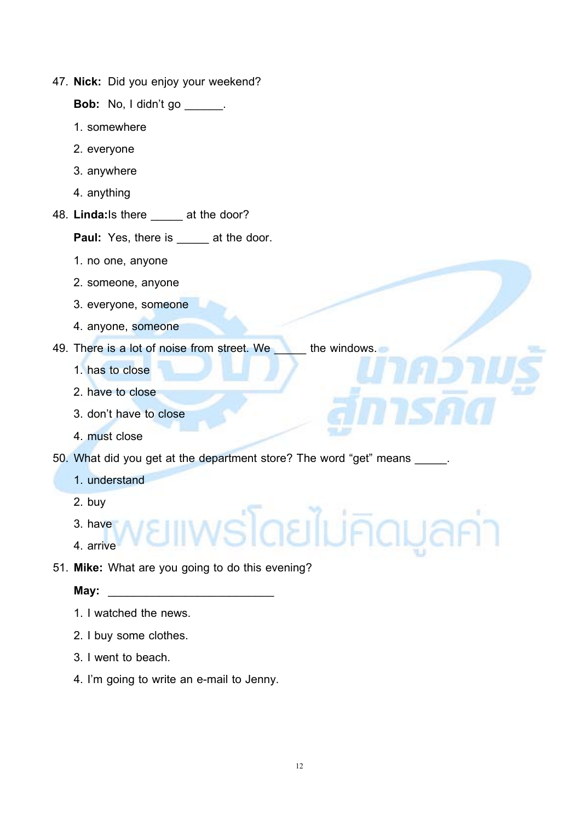47. **Nick:** Did you enjoy your weekend?

**Bob:** No, I didn't go \_\_\_\_\_\_.

- 1. somewhere
- 2. everyone
- 3. anywhere
- 4. anything
- 48. **Linda:**Is there \_\_\_\_\_ at the door?

Paul: Yes, there is \_\_\_\_\_ at the door.

- 1. no one, anyone
- 2. someone, anyone
- 3. everyone, someone
- 4. anyone, someone
- 49. There is a lot of noise from street. We the windows.
	- 1. has to close
	- 2. have to close
	- 3. don't have to close
	- 4. must close
- 50. What did you get at the department store? The word "get" means \_\_\_\_\_.

#### 1. understand

- 2. buy
- 3. have
- 4. arrive
- 51. **Mike:** What are you going to do this evening?

#### **May:**  $\blacksquare$

- 1. I watched the news.
- 2. I buy some clothes.
- 3. I went to beach.
- 4. I'm going to write an e-mail to Jenny.

พร*์*โดยไม่คิดมูลค่า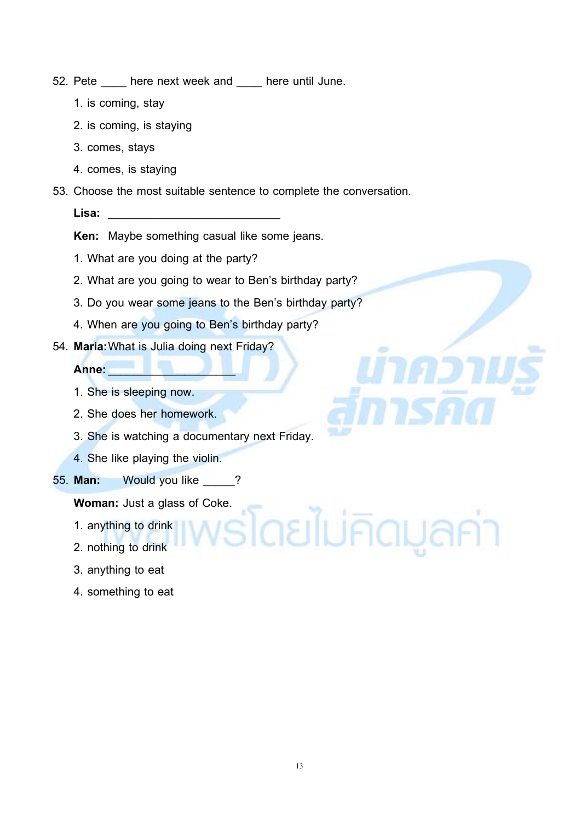- 52. Pete here next week and here until June.
	- 1. is coming, stay
	- 2. is coming, is staying
	- 3. comes, stays
	- 4. comes, is staying
- 53. Choose the most suitable sentence to complete the conversation.
	- **Lisa:** \_\_\_\_\_\_\_\_\_\_\_\_\_\_\_\_\_\_\_\_\_\_\_\_\_\_\_

**Ken:** Maybe something casual like some jeans.

- 1. What are you doing at the party?
- 2. What are you going to wear to Ben's birthday party?
- 3. Do you wear some jeans to the Ben's birthday party?
- 4. When are you going to Ben's birthday party?
- 54. **Maria:**What is Julia doing next Friday?

#### **Anne:**\_\_\_\_\_\_\_\_\_\_\_\_\_\_\_\_\_\_\_\_

- 1. She is sleeping now.
- 2. She does her homework.
- 3. She is watching a documentary next Friday.
- 4. She like playing the violin.
- 55. **Man:** Would you like \_\_\_\_\_?

**Woman:** Just a glass of Coke.

- 1. anything to drink
- 2. nothing to drink
- 3. anything to eat
- 4. something to eat

ายไม่คิดมูลค่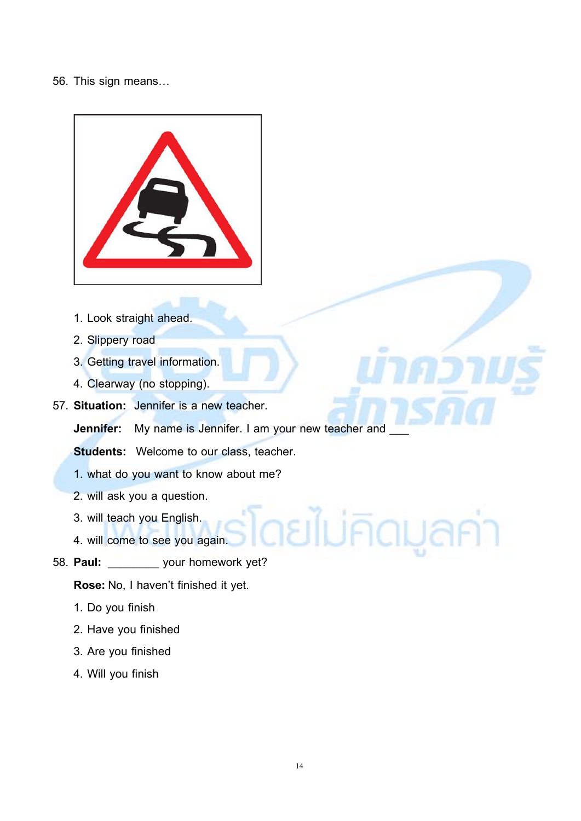#### 56. This sign means…



- 1. Look straight ahead.
- 2. Slippery road
- 3. Getting travel information.
- 4. Clearway (no stopping).
- 57. **Situation:** Jennifer is a new teacher.

**Jennifer:** My name is Jennifer. I am your new teacher and

**Students:** Welcome to our class, teacher.

- 1. what do you want to know about me?
- 2. will ask you a question.
- 3. will teach you English.
- 4. will come to see you again.
- 58. **Paul:** \_\_\_\_\_\_\_\_ your homework yet?

**Rose:** No, I haven't finished it yet.

- 1. Do you finish
- 2. Have you finished
- 3. Are you finished
- 4. Will you finish

ดยไม่คิดมูลค่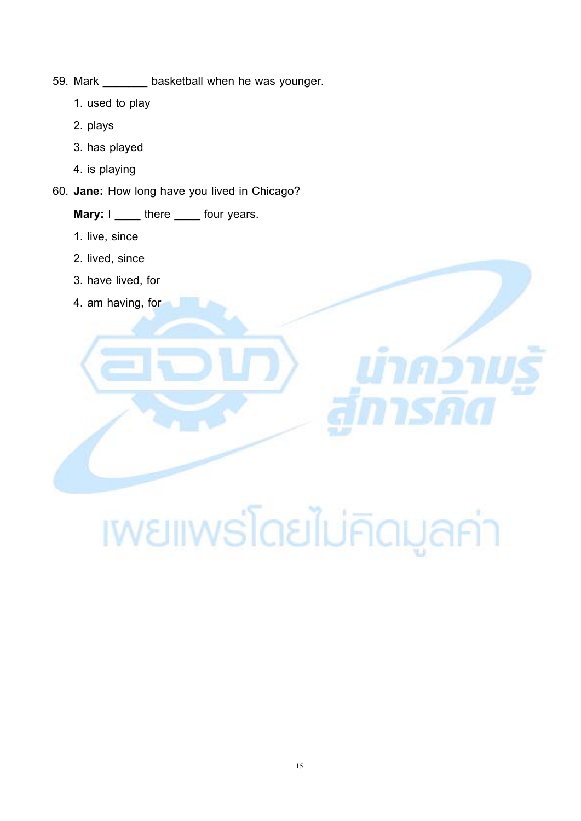- 59. Mark \_\_\_\_\_\_\_ basketball when he was younger.
	- 1. used to play
	- 2. plays
	- 3. has played
	- 4. is playing
- 60. **Jane:** How long have you lived in Chicago?

#### **Mary:** I \_\_\_\_ there \_\_\_\_ four years.

- 1. live, since
- 2. lived, since
- 3. have lived, for
- 4. am having, for

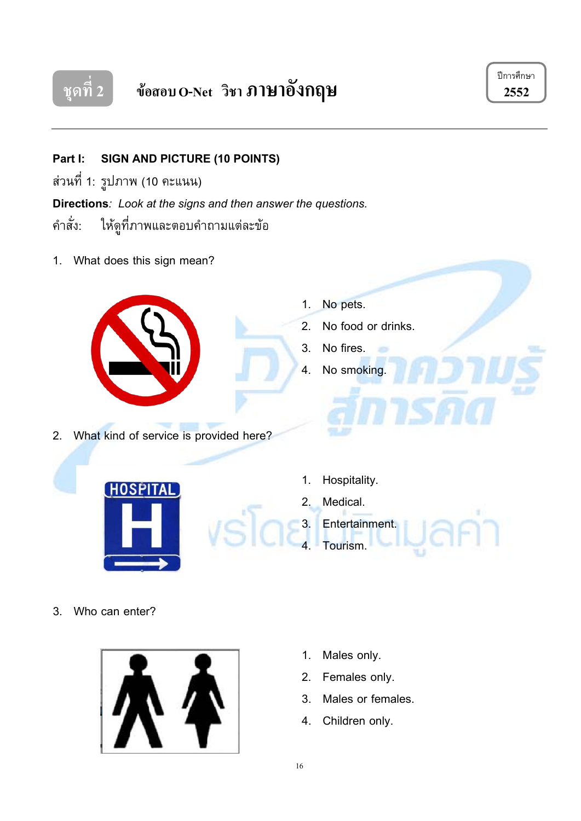



**Part I: SIGN AND PICTURE (10 POINTS)**

สวนที่ 1: รูปภาพ (10 คะแนน)

**Directions***: Look at the signs and then answer the questions.*

คําสั่ง: ใหดูที่ภาพและตอบคําถามแตละขอ

1. What does this sign mean?



2. What kind of service is provided here?

- 1. No pets.
- 2. No food or drinks.

ż5

- 3. No fires.
- 4. No smoking.
- HOSPI
	- 1. Hospitality.
	- 2. Medical.
	- 3. Entertainment.
	- 4. Tourism.

3. Who can enter?



- 1. Males only.
- 2. Females only.
- 3. Males or females.
- 4. Children only.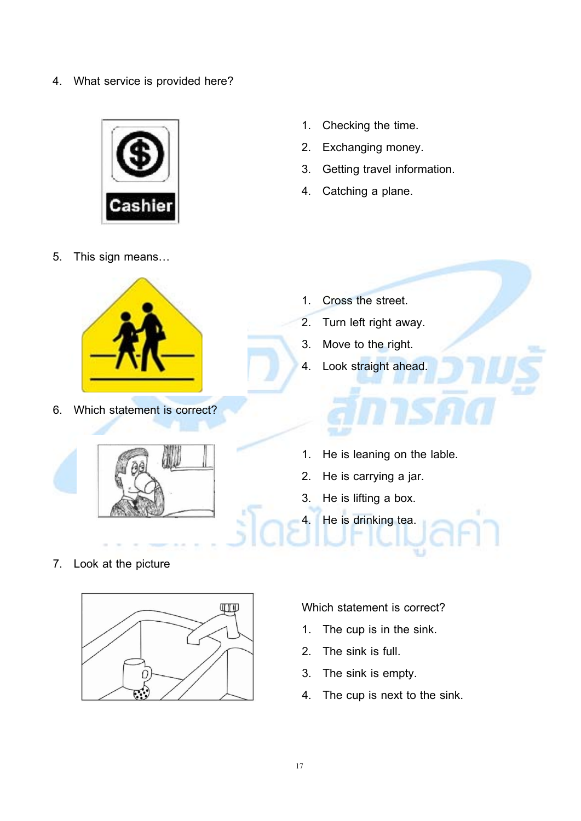4. What service is provided here?



- 5. This sign means…
	-
- 6. Which statement is correct?
- 1. Checking the time.
- 2. Exchanging money.
- 3. Getting travel information.
- 4. Catching a plane.

- 1. Cross the street.
- 2. Turn left right away.
- 3. Move to the right.
- 4. Look straight ahead.



- 1. He is leaning on the lable.
- 2. He is carrying a jar.
- 3. He is lifting a box.
	- He is drinking tea.

7. Look at the picture



Which statement is correct?

- 1. The cup is in the sink.
- 2. The sink is full.
- 3. The sink is empty.
- 4. The cup is next to the sink.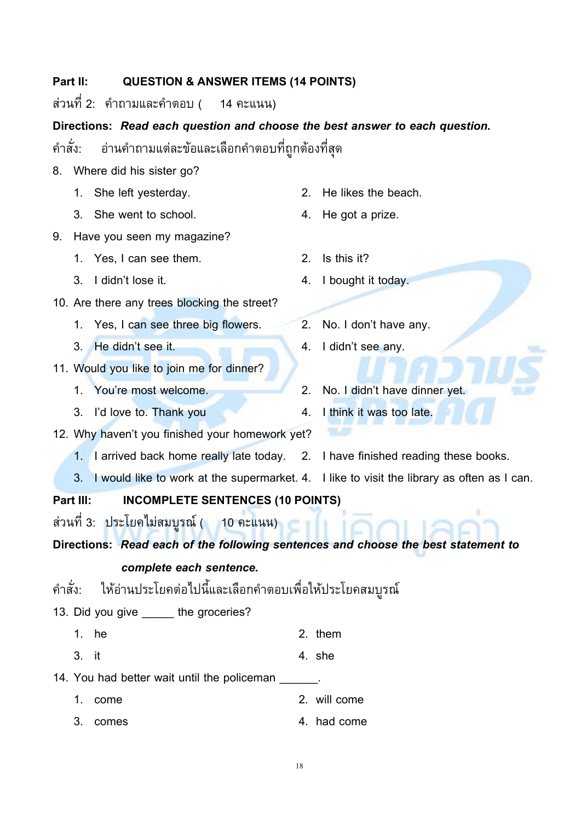#### **Part II: QUESTION & ANSWER ITEMS (14 POINTS)**

สวนที่ 2: คําถามและคําตอบ ( 14 คะแนน)

#### **Directions:** *Read each question and choose the best answer to each question.*

คําสั่ง: อานคําถามแตละขอและเลือกคําตอบที่ถูกตองที่สุด

- 8. Where did his sister go?
	- 1. She left yesterday. 2. He likes the beach.
	- 3. She went to school. 4. He got a prize.
- 9. Have you seen my magazine?
	- 1. Yes, I can see them. 2. Is this it?
	- 3. I didn't lose it. 4. I bought it today.
- 10. Are there any trees blocking the street?
	- 1. Yes, I can see three big flowers. 2. No. I don't have any.
	- 3. He didn't see it. 4. I didn't see any.
- 11. Would you like to join me for dinner?
	- 1. You're most welcome. 2. No. I didn't have dinner yet.
	- 3. I'd love to. Thank you are the 4. I think it was too late.
- 12. Why haven't you finished your homework yet?
	- 1. I arrived back home really late today. 2. I have finished reading these books.
	- 3. I would like to work at the supermarket. 4. I like to visit the library as often as I can.

**Part III: INCOMPLETE SENTENCES (10 POINTS)**

ี ส่วนที่ 3: ประโยคไม่สมบูรณ์ ( 10 คะแนน) <mark>.</mark>

**Directions:** *Read each of the following sentences and choose the best statement to*

#### *complete each sentence.*

คําสั่ง: ใหอานประโยคตอไปนี้และเลือกคําตอบเพื่อใหประโยคสมบูรณ

- 13. Did you give the groceries?
	- 1.  $he$  2. them
	- $3.$  it  $4.$  she
- 14. You had better wait until the policeman
	- 1. come 2. will come
	- 3. comes 4. had come
- 
- 
- 

18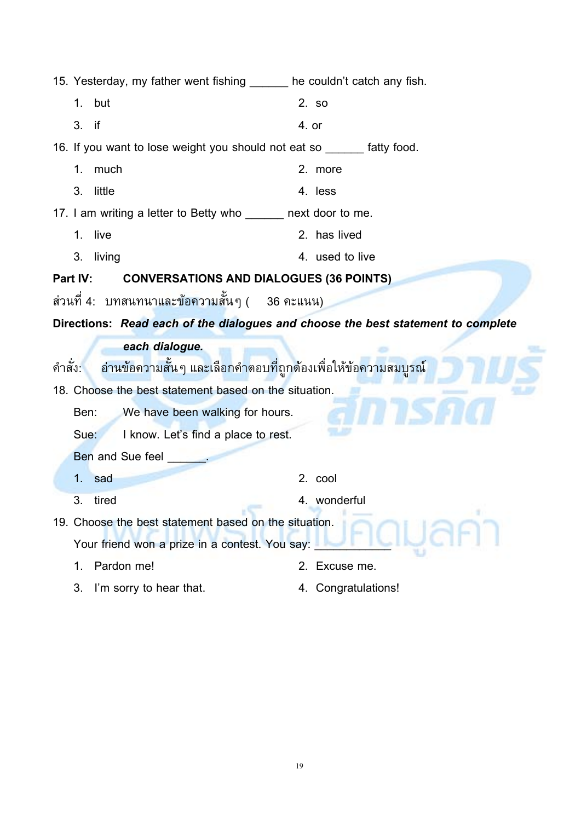| 15. Yesterday, my father went fishing ______ he couldn't catch any fish.                  |                     |
|-------------------------------------------------------------------------------------------|---------------------|
| but<br>1.                                                                                 | 2. so               |
| 3.<br>if                                                                                  | 4. or               |
| 16. If you want to lose weight you should not eat so ______ fatty food.                   |                     |
| 1.<br>much                                                                                | 2. more             |
| 3.<br>little                                                                              | 4. less             |
| 17. I am writing a letter to Betty who ______ next door to me.                            |                     |
| live<br>1.                                                                                | 2. has lived        |
| 3.<br>living                                                                              | 4. used to live     |
| Part IV:<br><b>CONVERSATIONS AND DIALOGUES (36 POINTS)</b>                                |                     |
| ส่วนที่ 4:   บทสนทนาและข้อความสั้นๆ (     36 คะแนน)                                       |                     |
| Directions: Read each of the dialogues and choose the best statement to complete          |                     |
| each dialogue.                                                                            |                     |
| ้อ่านข้อค <mark>วามสั้น</mark> ๆ และเลือกคำตอบที่ถูกต้องเพื่อให้ข้อความสมบูรณ์<br>คำสั่ง: |                     |
| 18. Choose the best statement based on the situation.                                     |                     |
| We have been walking for hours.<br>Ben:                                                   |                     |
| I know. Let's find a place to rest.<br>Sue:                                               |                     |
| <b>Ben and Sue feel</b>                                                                   |                     |
| sad<br>1.                                                                                 | 2. cool             |
| 3.<br>tired                                                                               | 4. wonderful        |
| 19. Choose the best statement based on the situation.                                     |                     |
| Your friend won a prize in a contest. You say:                                            |                     |
| Pardon me!<br>1.                                                                          | 2. Excuse me.       |
| I'm sorry to hear that.<br>3.                                                             | 4. Congratulations! |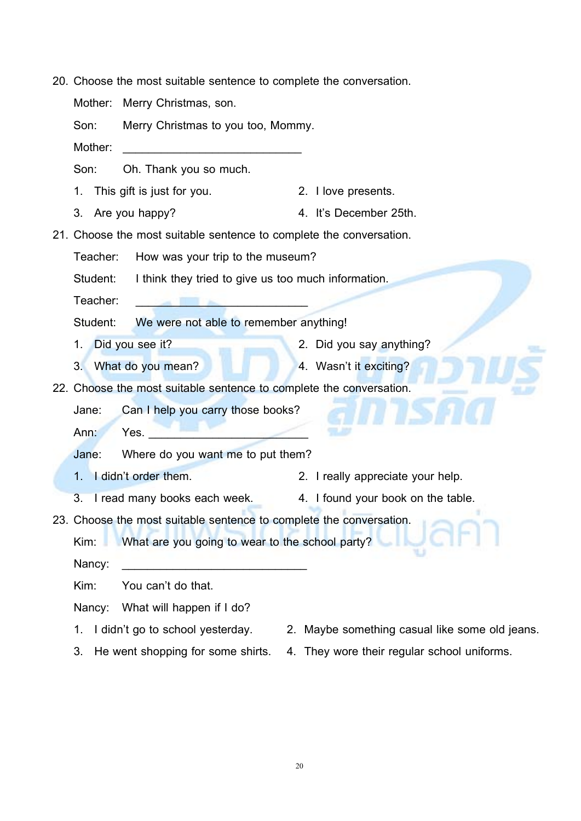20. Choose the most suitable sentence to complete the conversation.

Mother: Merry Christmas, son.

Son: Merry Christmas to you too, Mommy.

Mother: \_\_\_\_\_\_\_\_\_\_\_\_\_\_\_\_\_\_\_\_\_\_\_\_\_\_\_\_\_\_\_\_\_\_\_

Son: Oh. Thank you so much.

- 1. This gift is just for you. 2. I love presents.
- 3. Are you happy? 4. It's December 25th.

21. Choose the most suitable sentence to complete the conversation.

Teacher: How was your trip to the museum?

Student: I think they tried to give us too much information.

Teacher:

Student: We were not able to remember anything!

- 1. Did you see it? 2. Did you say anything?
- 3. What do you mean? 4. Wasn't it exciting?

22. Choose the most suitable sentence to complete the conversation.

- Jane: Can I help you carry those books?
- Ann: Yes.

Jane: Where do you want me to put them?

- 1. I didn't order them. 2. I really appreciate your help.
- 3. I read many books each week. 4. I found your book on the table.

23. Choose the most suitable sentence to complete the conversation.

Kim: What are you going to wear to the school party?

Nancy: \_\_\_\_\_\_\_\_\_\_\_\_\_\_\_\_\_\_\_\_\_\_\_\_\_\_\_\_\_\_\_\_\_\_\_

Kim: You can't do that.

Nancy: What will happen if I do?

- 
- 1. I didn't go to school yesterday. 2. Maybe something casual like some old jeans.
- 
- 3. He went shopping for some shirts. 4. They wore their regular school uniforms.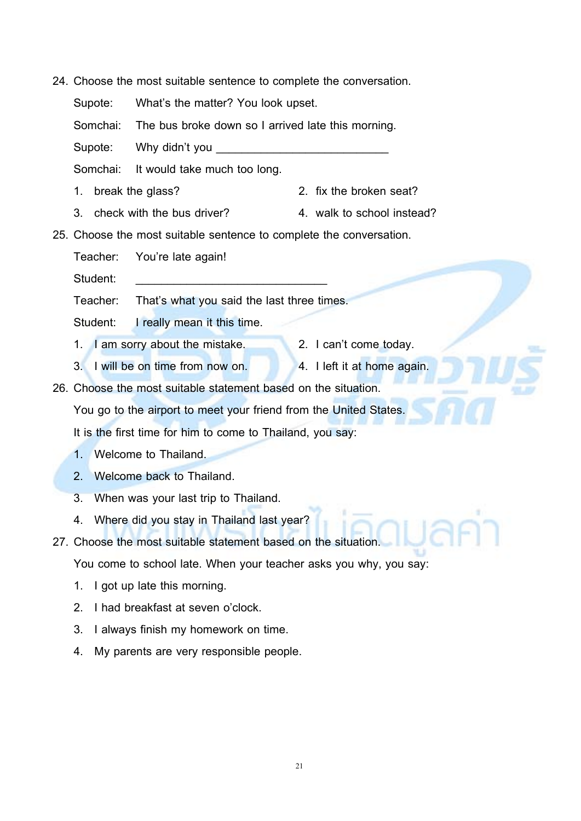24. Choose the most suitable sentence to complete the conversation.

Supote: What's the matter? You look upset.

Somchai: The bus broke down so I arrived late this morning.

Supote: Why didn't you

Somchai: It would take much too long.

- 1. break the glass? 2. fix the broken seat?
- 3. check with the bus driver? 4. walk to school instead?

25. Choose the most suitable sentence to complete the conversation.

Teacher: You're late again!

Student:

Teacher: That's what you said the last three times.

Student: I really mean it this time.

- 1. I am sorry about the mistake. 2. I can't come today.
- 3. I will be on time from now on. 4. I left it at home again.

26. Choose the most suitable statement based on the situation.

You go to the airport to meet your friend from the United States.

It is the first time for him to come to Thailand, you say:

- 1. Welcome to Thailand.
- 2. Welcome back to Thailand.
- 3. When was your last trip to Thailand.
- 4. Where did you stay in Thailand last year?
- 27. Choose the most suitable statement based on the situation.

You come to school late. When your teacher asks you why, you say:

- 1. I got up late this morning.
- 2. I had breakfast at seven o'clock.
- 3. I always finish my homework on time.
- 4. My parents are very responsible people.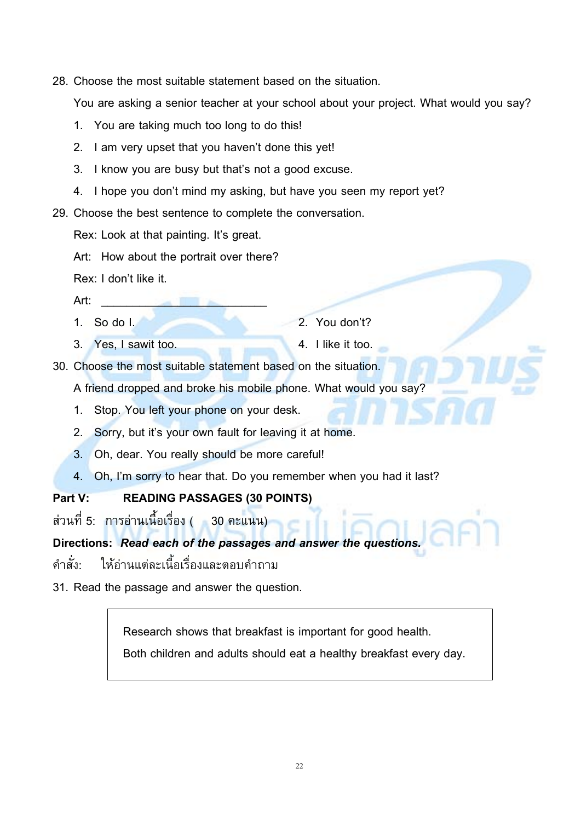28. Choose the most suitable statement based on the situation.

You are asking a senior teacher at your school about your project. What would you say?

- 1. You are taking much too long to do this!
- 2. I am very upset that you haven't done this yet!
- 3. I know you are busy but that's not a good excuse.
- 4. I hope you don't mind my asking, but have you seen my report yet?
- 29. Choose the best sentence to complete the conversation.
	- Rex: Look at that painting. It's great.
	- Art: How about the portrait over there?
	- Rex: I don't like it.
	- Art: \_\_\_\_\_\_\_\_\_\_\_\_\_\_\_\_\_\_\_\_\_\_\_\_\_\_
	-
	- 3. Yes, I sawit too. 4. I like it too.
	- 1. So do I. 2. You don't?
		-

30. Choose the most suitable statement based on the situation.

A friend dropped and broke his mobile phone. What would you say?

- 1. Stop. You left your phone on your desk.
- 2. Sorry, but it's your own fault for leaving it at home.
- 3. Oh, dear. You really should be more careful!
- 4. Oh, I'm sorry to hear that. Do you remember when you had it last?

#### **Part V: READING PASSAGES (30 POINTS)**

สวนที่ 5: การอานเนื้อเรื่อง ( 30 คะแนน)

**Directions:** *Read each of the passages and answer the questions.*

คําสั่ง: ใหอานแตละเนื้อเรื่องและตอบคําถาม

31. Read the passage and answer the question.

Research shows that breakfast is important for good health.

Both children and adults should eat a healthy breakfast every day.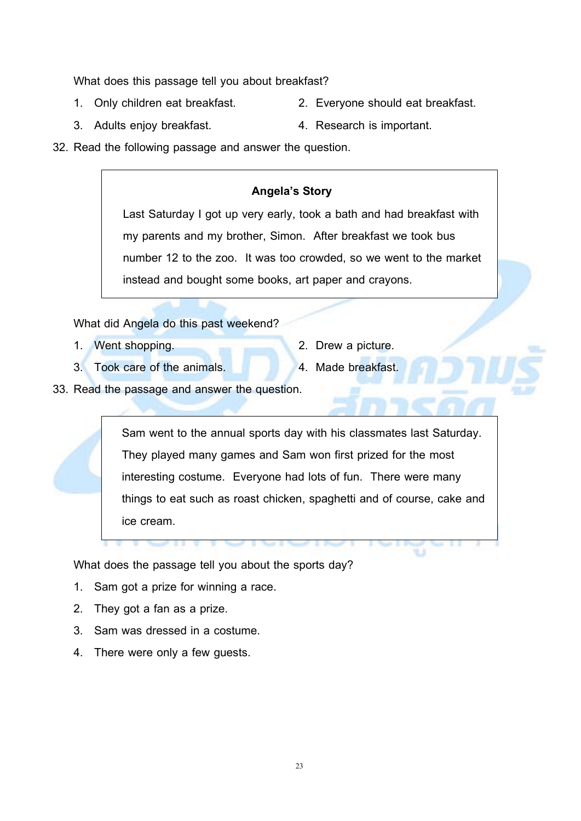What does this passage tell you about breakfast?

- 
- 1. Only children eat breakfast. 2. Everyone should eat breakfast.
- 3. Adults enjoy breakfast. 4. Research is important.
- 
- 32. Read the following passage and answer the question.

#### **Angela's Story**

Last Saturday I got up very early, took a bath and had breakfast with my parents and my brother, Simon. After breakfast we took bus number 12 to the zoo. It was too crowded, so we went to the market instead and bought some books, art paper and crayons.

What did Angela do this past weekend?

- 1. Went shopping. 2. Drew a picture.
- 
- 3. Took care of the animals. 4. Made breakfast.
- 
- 33. Read the passage and answer the question.

Sam went to the annual sports day with his classmates last Saturday. They played many games and Sam won first prized for the most interesting costume. Everyone had lots of fun. There were many things to eat such as roast chicken, spaghetti and of course, cake and ice cream.

What does the passage tell you about the sports day?

- 1. Sam got a prize for winning a race.
- 2. They got a fan as a prize.
- 3. Sam was dressed in a costume.
- 4. There were only a few guests.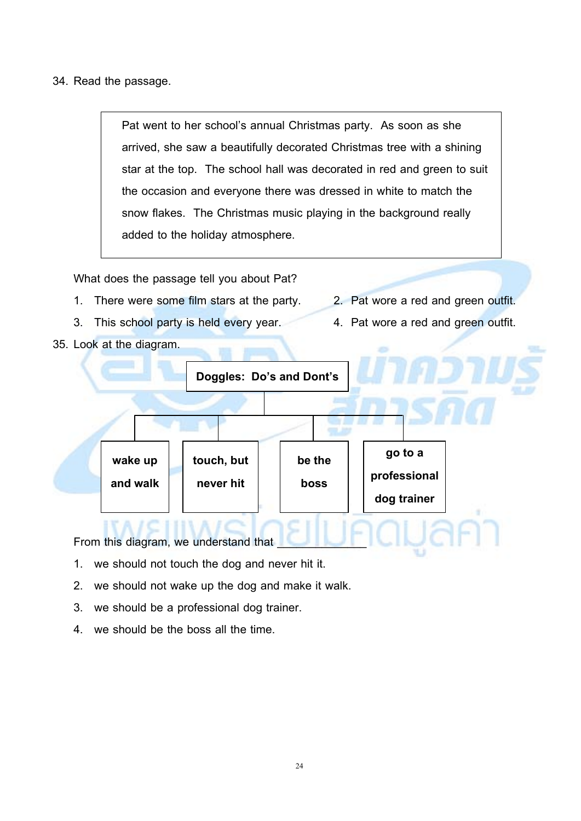34. Read the passage.

Pat went to her school's annual Christmas party. As soon as she arrived, she saw a beautifully decorated Christmas tree with a shining star at the top. The school hall was decorated in red and green to suit the occasion and everyone there was dressed in white to match the snow flakes. The Christmas music playing in the background really added to the holiday atmosphere.

What does the passage tell you about Pat?

- 1. There were some film stars at the party. 2. Pat wore a red and green outfit.
- 3. This school party is held every year. 4. Pat wore a red and green outfit.

35. Look at the diagram.

- 
- 



From this diagram, we understand that

- 1. we should not touch the dog and never hit it.
- 2. we should not wake up the dog and make it walk.
- 3. we should be a professional dog trainer.
- 4. we should be the boss all the time.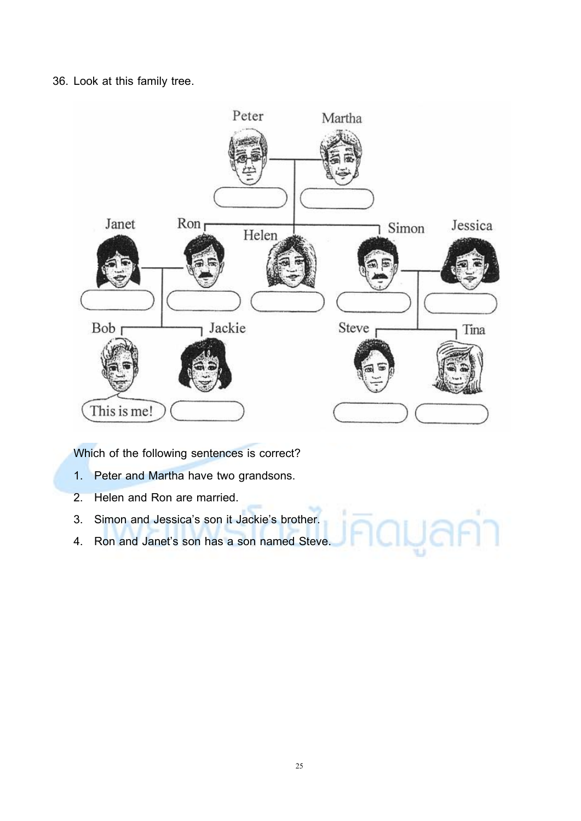36. Look at this family tree.



Which of the following sentences is correct?

- 1. Peter and Martha have two grandsons.
- 2. Helen and Ron are married.
- 3. Simon and Jessica's son it Jackie's brother.
- 4. Ron and Janet's son has a son named Steve.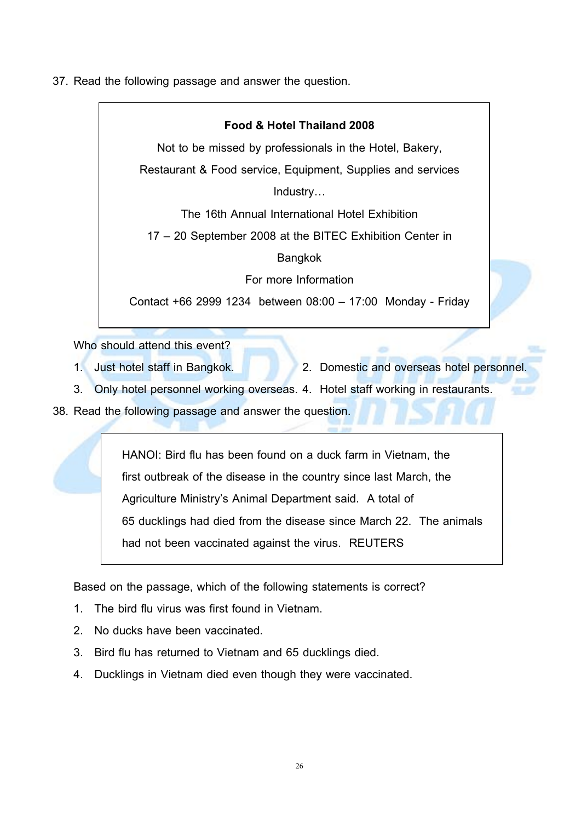37. Read the following passage and answer the question.

### **Food & Hotel Thailand 2008** Not to be missed by professionals in the Hotel, Bakery, Restaurant & Food service, Equipment, Supplies and services Industry… The 16th Annual International Hotel Exhibition 17 – 20 September 2008 at the BITEC Exhibition Center in Bangkok For more Information Contact +66 2999 1234 between 08:00 – 17:00 Monday - Friday

Who should attend this event?

- 1. Just hotel staff in Bangkok. 2. Domestic and overseas hotel personnel.
- 3. Only hotel personnel working overseas. 4. Hotel staff working in restaurants.

38. Read the following passage and answer the question.

HANOI: Bird flu has been found on a duck farm in Vietnam, the first outbreak of the disease in the country since last March, the Agriculture Ministry's Animal Department said. A total of 65 ducklings had died from the disease since March 22. The animals had not been vaccinated against the virus. REUTERS

Based on the passage, which of the following statements is correct?

- 1. The bird flu virus was first found in Vietnam.
- 2. No ducks have been vaccinated.
- 3. Bird flu has returned to Vietnam and 65 ducklings died.
- 4. Ducklings in Vietnam died even though they were vaccinated.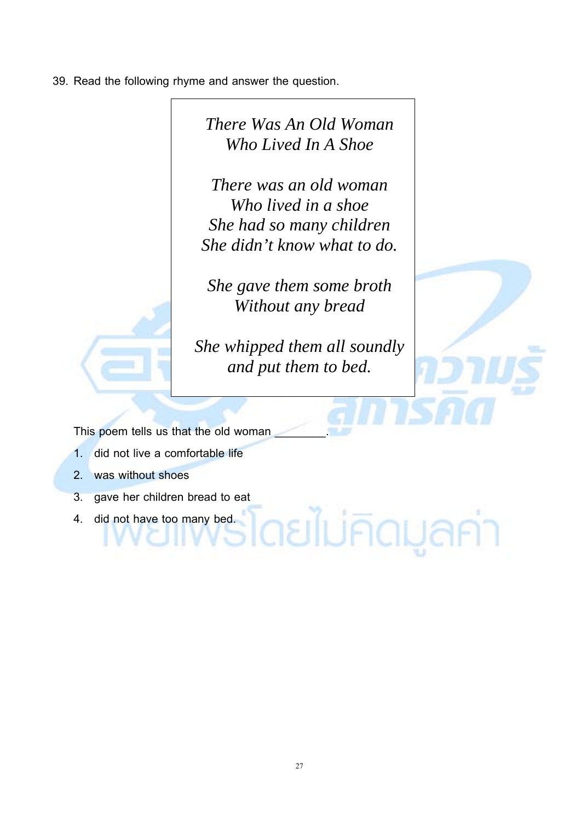39. Read the following rhyme and answer the question.



้ดยไม่คิดมูลค่า

This poem tells us that the old woman

- 1. did not live a comfortable life
- 2. was without shoes
- 3. gave her children bread to eat
- 4. did not have too many bed.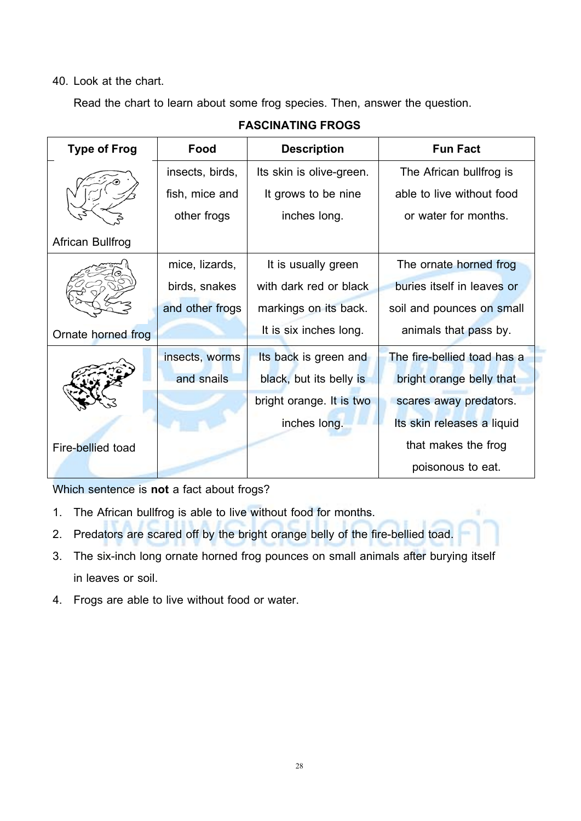#### 40. Look at the chart.

Read the chart to learn about some frog species. Then, answer the question.

| <b>Type of Frog</b> | Food            | <b>Description</b>       | <b>Fun Fact</b>             |
|---------------------|-----------------|--------------------------|-----------------------------|
|                     | insects, birds, | Its skin is olive-green. | The African bullfrog is     |
|                     | fish, mice and  | It grows to be nine      | able to live without food   |
|                     | other frogs     | inches long.             | or water for months.        |
| African Bullfrog    |                 |                          |                             |
|                     | mice, lizards,  | It is usually green      | The ornate horned frog      |
|                     | birds, snakes   | with dark red or black   | buries itself in leaves or  |
|                     | and other frogs | markings on its back.    | soil and pounces on small   |
| Ornate horned frog  |                 | It is six inches long.   | animals that pass by.       |
|                     | insects, worms  | Its back is green and    | The fire-bellied toad has a |
|                     | and snails      | black, but its belly is  | bright orange belly that    |
|                     |                 | bright orange. It is two | scares away predators.      |
|                     |                 | inches long.             | Its skin releases a liquid  |
| Fire-bellied toad   |                 |                          | that makes the frog         |
|                     |                 |                          | poisonous to eat.           |

**FASCINATING FROGS**

Which sentence is **not** a fact about frogs?

- 1. The African bullfrog is able to live without food for months.
- 2. Predators are scared off by the bright orange belly of the fire-bellied toad.
- 3. The six-inch long ornate horned frog pounces on small animals after burying itself in leaves or soil.

٠

4. Frogs are able to live without food or water.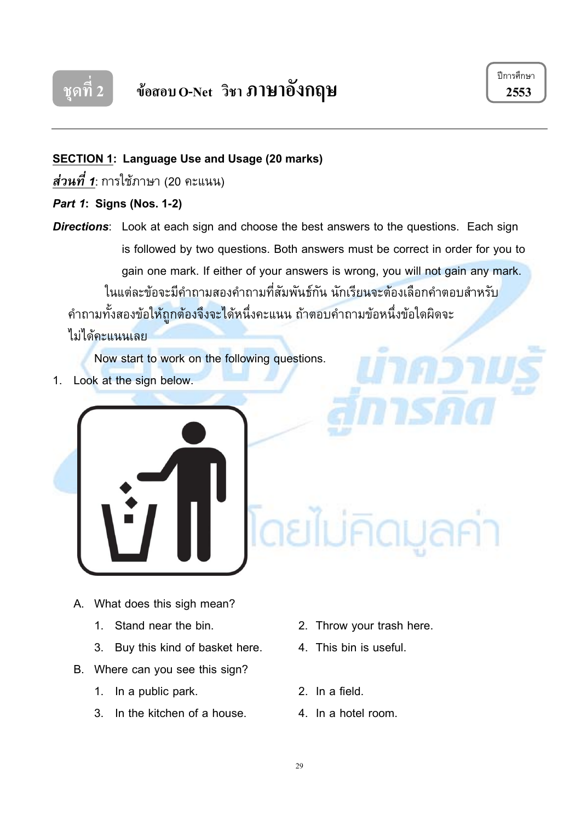

ปการศึกษา

#### **SECTION 1: Language Use and Usage(20 marks)**

*สวนที่ 1* : การใชภาษา (20 คะแนน)

#### *Part 1***: Signs (Nos. 1-2)**

**Directions:** Look at each sign and choose the best answers to the questions. Each sign is followed by two questions. Both answers must be correct in order for you to gain one mark. If either of your answers is wrong, you will not gain any mark. ในแตละขอจะมีคําถามสองคําถามที่สัมพันธกัน นักเรียนจะตองเลือกคําตอบสําหรับ คําถามทั้งสองขอใหถูกตองจึงจะไดหนึ่งคะแนน ถาตอบคําถามขอหนึ่งขอใดผิดจะ

ไมไดคะแนนเลย

Now start to work on the following questions.

1. Look at the sign below.



- A. What does this sigh mean?
	-
	- 3. Buy this kind of basket here. 4. This bin is useful.
- B. Where can you see this sign?
	- 1. In a public park. 2. In a field.
	- 3. In the kitchen of a house. 4. In a hotel room.
- 1. Stand near the bin. 2. Throw your trash here.
	-
	-
	-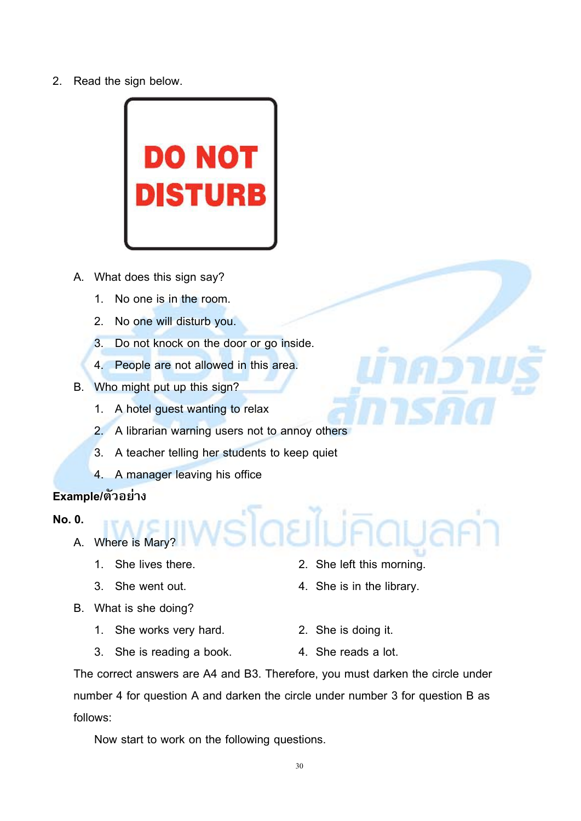2. Read the sign below.



- A. What does this sign say?
	- 1. No one is in the room.
	- 2. No one will disturb you.
	- 3. Do not knock on the door or go inside.
	- 4. People are not allowed in this area.
- B. Who might put up this sign?
	- 1. A hotel guest wanting to relax
	- 2. A librarian warning users not to annoy others
	- 3. A teacher telling her students to keep quiet
	- 4. A manager leaving his office

#### **Example/ตัวอยาง**

#### **No. 0.**

- A. Where is Mary?
	-
	-
- B. What is she doing?
	- 1. She works very hard. 2. She is doing it.
- 1. She lives there. 2. She left this morning.
- 3. She went out. 4. She is in the library.
	-
	- 3. She is reading a book. 4. She reads a lot.
- 

The correct answers are A4 and B3. Therefore, you must darken the circle under number 4 for question A and darken the circle under number 3 for question B as follows:

slasik

Now start to work on the following questions.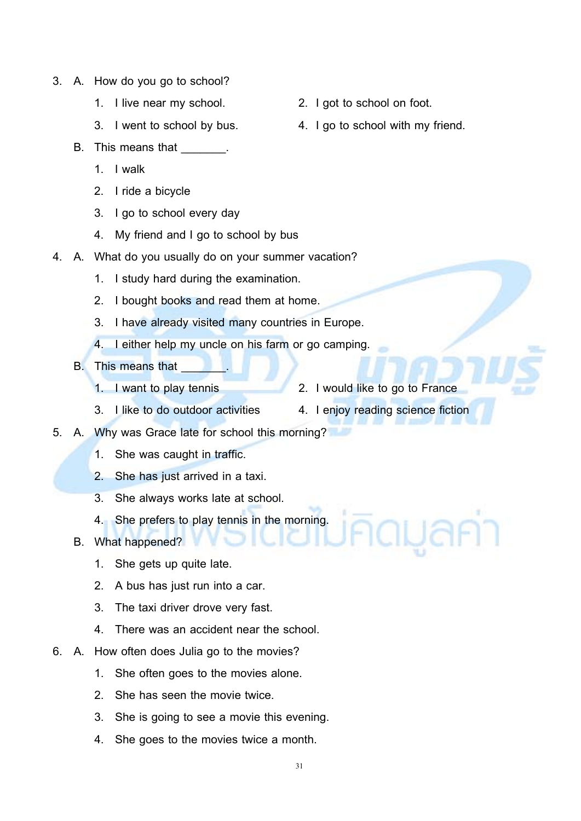- 3. A. How do you go to school?
	-
	-
	- B. This means that **B.** 
		- 1. I walk
		- 2. I ride a bicycle
		- 3. I go to school every day
		- 4. My friend and I go to school by bus
- 4. A. What do you usually do on your summer vacation?
	- 1. I study hard during the examination.
	- 2. I bought books and read them at home.
	- 3. I have already visited many countries in Europe.
	- 4. I either help my uncle on his farm or go camping.
	- B. This means that
		-
		- 1. I want to play tennis 2. I would like to go to France
		- 3. I like to do outdoor activities 4. I enjoy reading science fiction
- 5. A. Why was Grace late for school this morning?
	- 1. She was caught in traffic.
	- 2. She has just arrived in a taxi.
	- 3. She always works late at school.
	- 4. She prefers to play tennis in the morning.
	- B. What happened?
		- 1. She gets up quite late.
		- 2. A bus has just run into a car.
		- 3. The taxi driver drove very fast.
		- 4. There was an accident near the school.
- 6. A. How often does Julia go to the movies?
	- 1. She often goes to the movies alone.
	- 2. She has seen the movie twice.
	- 3. She is going to see a movie this evening.
	- 4. She goes to the movies twice a month.
- 1. I live near my school. 2. I got to school on foot.
- 3. I went to school by bus. 4. I go to school with my friend.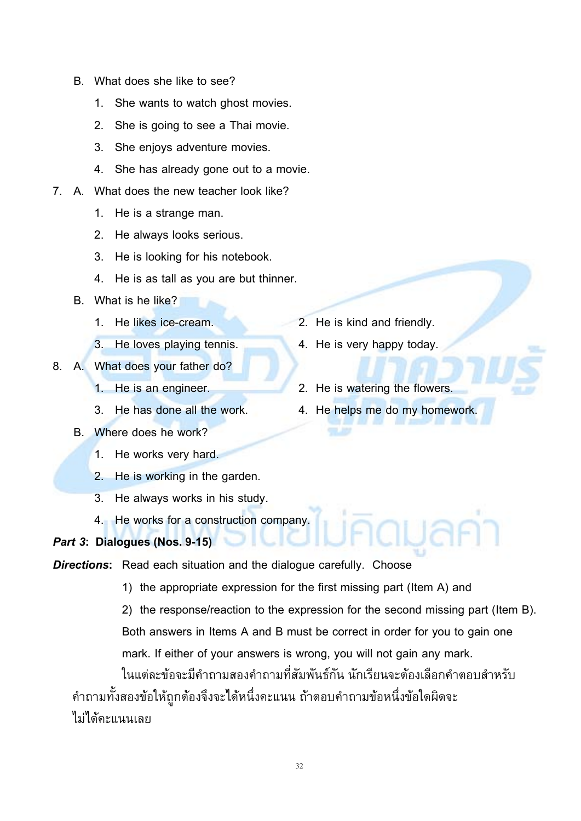- B. What does she like to see?
	- 1. She wants to watch ghost movies.
	- 2. She is going to see a Thai movie.
	- 3. She enjoys adventure movies.
	- 4. She has already gone out to a movie.
- 7. A. What does the new teacher look like?
	- 1. He is a strange man.
	- 2. He always looks serious.
	- 3. He is looking for his notebook.
	- 4. He is as tall as you are but thinner.
	- B. What is he like?
		-
	-
- 8. A. What does your father do?
	-
	-
	- B. Where does he work?
		- 1. He works very hard.
		- 2. He is working in the garden.
		- 3. He always works in his study.
		- 4. He works for a construction company.

#### *Part 3***: Dialogues(Nos. 9-15)**

*Directions***:** Read each situation and the dialogue carefully. Choose

- 1) the appropriate expression for the first missing part (Item A) and
- 2) the response/reaction to the expression for the second missing part (Item B). Both answers in Items A and B must be correct in order for you to gain one mark. If either of your answers is wrong, you will not gain any mark.

ในแตละขอจะมีคําถามสองคําถามที่สัมพันธกัน นักเรียนจะตองเลือกคําตอบสําหรับ คําถามทั้งสองขอใหถูกตองจึงจะไดหนึ่งคะแนน ถาตอบคําถามขอหนึ่งขอใดผิดจะ ไมไดคะแนนเลย

- 1. He likes ice-cream. 2. He is kind and friendly.
- 3. He loves playing tennis. 4. He is very happy today.
- 1. He is an engineer. 2. He is watering the flowers.
- 3. He has done all the work. 4. He helps me do my homework.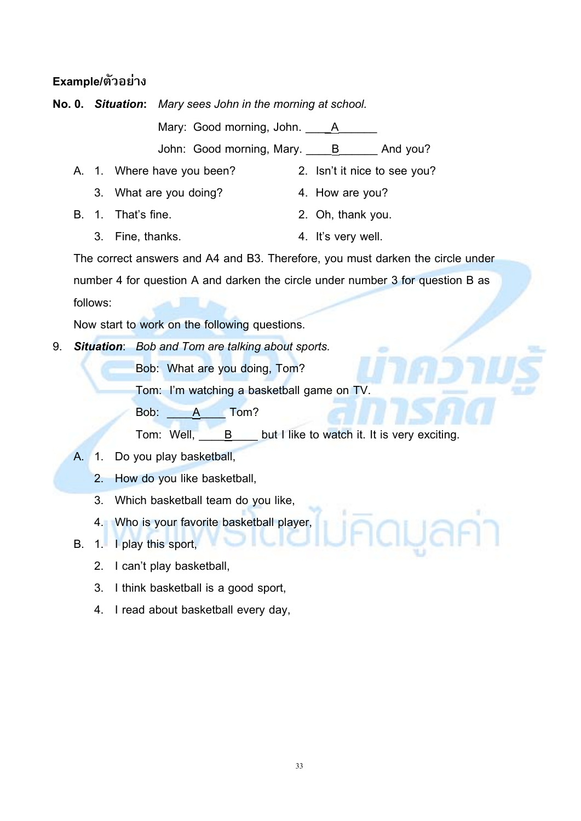#### **Example/ตัวอยาง**

**No. 0.** *Situation***:** *Mary sees John in the morning at school.*

Mary: Good morning, John. 1888

John: Good morning, Mary. B And you?

- A. 1. Where have you been? 2. Isn't it nice to see you?
	- 3. What are you doing? 4. How are you?
- B. 1. That's fine. 2. Oh, thank you.
- -
	- 3. Fine, thanks. 4. It's very well.

The correct answers and A4 and B3. Therefore, you must darken the circle under number 4 for question A and darken the circle under number 3 for question B as follows:

Now start to work on the following questions.

9. *Situation*: *Bob and Tom are talking about sports.*

Bob: What are you doing, Tom?

Tom: I'm watching a basketball game on TV.

Bob: A Tom?

Tom: Well, **B** but I like to watch it. It is very exciting.

- A. 1. Do you play basketball,
	- 2. How do you like basketball,
	- 3. Which basketball team do you like,
	- 4. Who is your favorite basketball player,

B. 1. I play this sport,

- 2. I can't play basketball,
- 3. I think basketball is a good sport,
- 4. I read about basketball every day,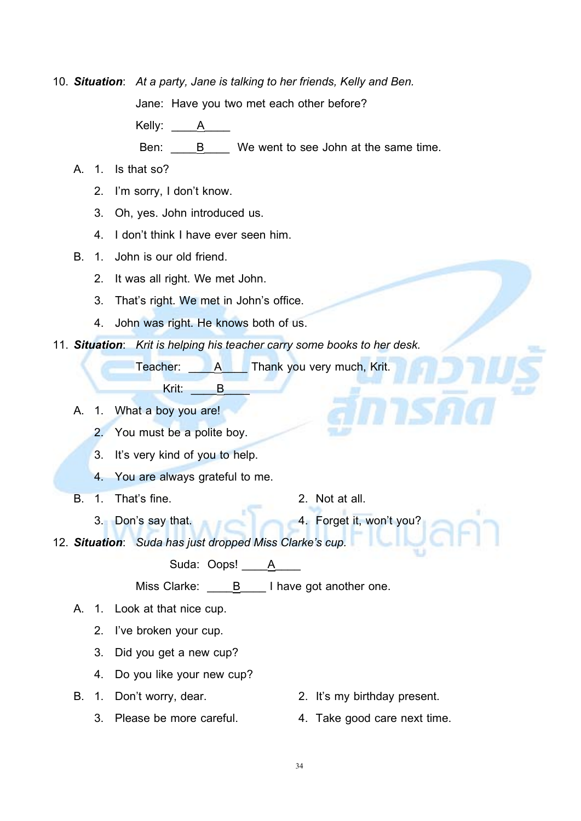10. *Situation*: *At a party, Jane is talking to her friends, Kelly and Ben.*

Jane: Have you two met each other before?

Kelly: A

Ben:  $\underline{\qquad \qquad }$  B  $\underline{\qquad \qquad }$  We went to see John at the same time.

- A. 1. Is that so?
	- 2. I'm sorry, I don't know.
	- 3. Oh, yes. John introduced us.
	- 4. I don't think I have ever seen him.
- B. 1. John is our old friend.
	- 2. It was all right. We met John.
	- 3. That's right. We met in John's office.
	- 4. John was right. He knows both of us.
- 11. *Situation*: *Krit is helping his teacher carry some books to her desk.*

Teacher: A Thank you very much, Krit.

Krit: B

- A. 1. What a boy you are!
	- 2. You must be a polite boy.
	- 3. It's very kind of you to help.
	- 4. You are always grateful to me.
- B. 1. That's fine. 2. Not at all.
	- 3. Don's say that. 4. Forget it, won't you?
- 12. *Situation*: *Suda has just dropped Miss Clarke's cup.*

Suda: Oops! \_\_\_\_A\_\_\_\_\_

Miss Clarke: **B** I have got another one.

- A. 1. Look at that nice cup.
	- 2. I've broken your cup.
	- 3. Did you get a new cup?
	- 4. Do you like your new cup?
- B. 1. Don't worry, dear. 2. It's my birthday present.
	-
- 
- 3. Please be more careful. 4. Take good care next time.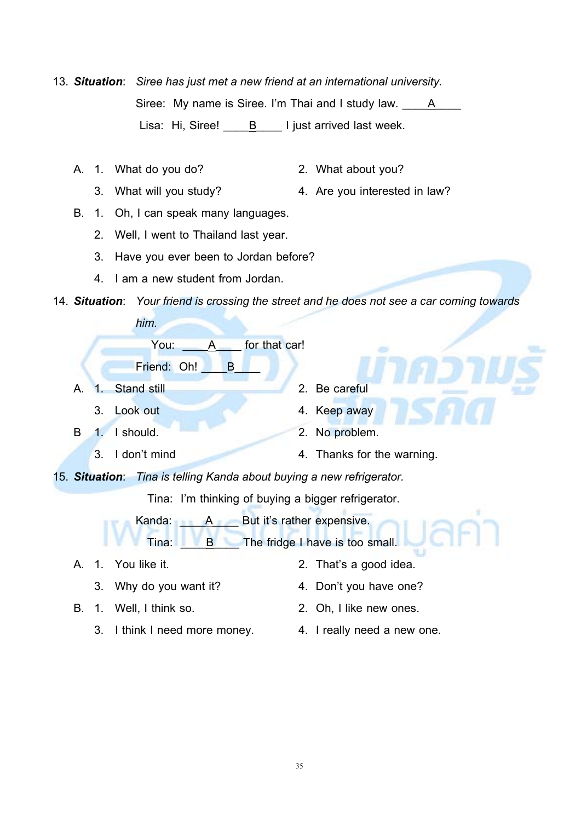13. *Situation*: *Siree has just met a new friend at an international university.* Siree: My name is Siree. I'm Thai and I study law. A Lisa: Hi, Siree! B I just arrived last week.

- A. 1. What do you do? 2. What about you?
- - 3. What will you study? 4. Are you interested in law?
- B. 1. Oh, I can speak many languages.
	- 2. Well, I went to Thailand last year.
	- 3. Have you ever been to Jordan before?
	- 4. I am a new student from Jordan.

#### 14. *Situation*: *Your friend is crossing the street and he does not see a car coming towards*

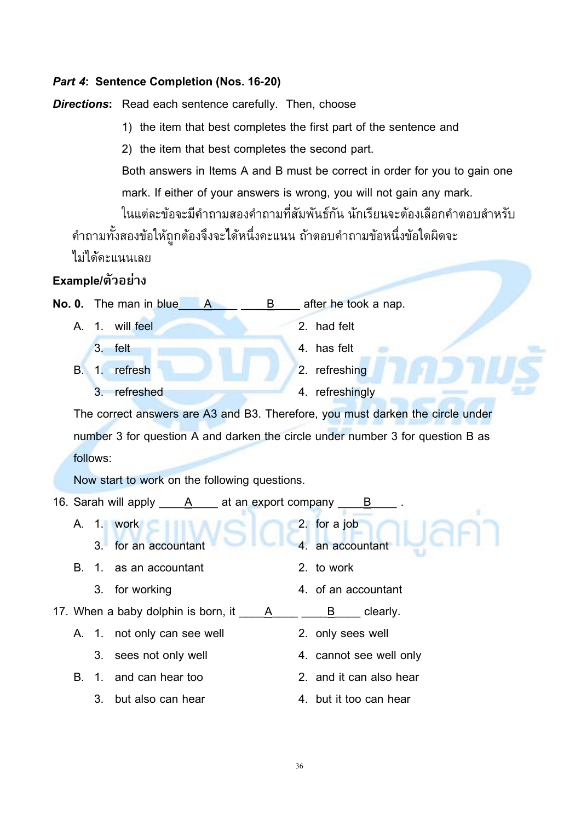#### *Part 4***: Sentence Completion (Nos. 16-20)**

*Directions***:** Read each sentence carefully. Then, choose

1) the item that best completes the first part of the sentence and

2) the item that best completes the second part.

Both answers in Items A and B must be correct in order for you to gain one mark. If either of your answers is wrong, you will not gain any mark.

ในแตละขอจะมีคําถามสองคําถามที่สัมพันธกัน นักเรียนจะตองเลือกคําตอบสําหรับ คําถามทั้งสองขอใหถูกตองจึงจะไดหนึ่งคะแนน ถาตอบคําถามขอหนึ่งขอใดผิดจะ

ไมไดคะแนนเลย

#### **Example/ตัวอยาง**

| No. 0. The man in blue<br>B<br>A                                  | after he took a nap.                                                           |
|-------------------------------------------------------------------|--------------------------------------------------------------------------------|
| 1. will feel<br>A.                                                | 2. had felt                                                                    |
| 3. felt                                                           | 4. has felt                                                                    |
| 1. refresh<br><b>B.</b>                                           | 2. refreshing                                                                  |
| refreshed<br>3.                                                   | 4. refreshingly                                                                |
|                                                                   | The correct answers are A3 and B3. Therefore, you must darken the circle under |
|                                                                   | number 3 for question A and darken the circle under number 3 for question B as |
| follows:                                                          |                                                                                |
| Now start to work on the following questions.                     |                                                                                |
| 16. Sarah will apply ______ A _____ at an export company ______ B |                                                                                |
| A. 1. work<br>3. for an accountant                                | 2. for a job<br>4. an accountant                                               |
| В.<br>1. as an accountant                                         | 2. to work                                                                     |
| for working<br>3 <sub>1</sub>                                     | 4. of an accountant                                                            |
|                                                                   | B clearly.                                                                     |
| A. 1. not only can see well                                       | 2. only sees well                                                              |

- 3. sees not only well **4. cannot see well only**
- B. 1. and can hear too 2. and it can also hear
	- 3. but also can hear 4. but it too can hear
- 
- -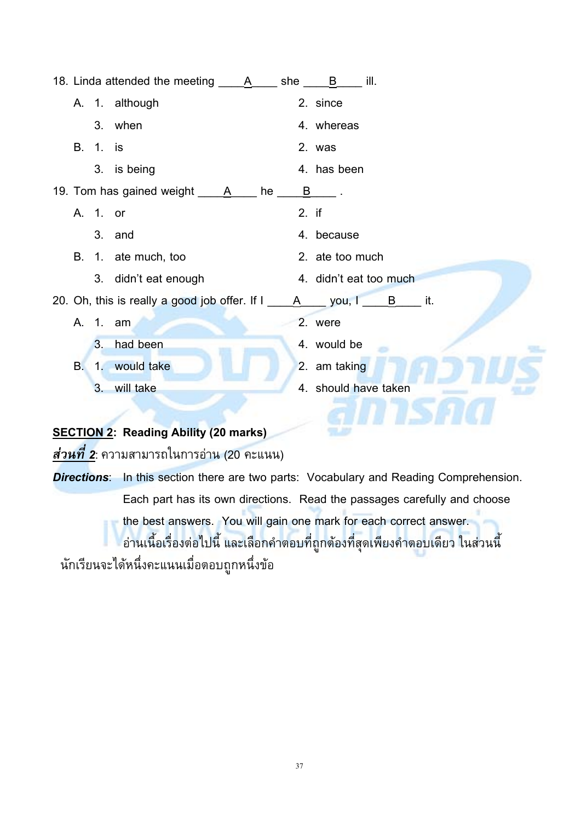|           |          | A. 1. although                                          |       | 2. since               |  |  |  |  |
|-----------|----------|---------------------------------------------------------|-------|------------------------|--|--|--|--|
|           |          | 3. when                                                 |       | 4. whereas             |  |  |  |  |
| В.        | $1$ is   |                                                         |       | 2. was                 |  |  |  |  |
|           |          | 3. is being                                             |       | 4. has been            |  |  |  |  |
|           |          | 19. Tom has gained weight _____A_____ he __             | B     |                        |  |  |  |  |
|           | A. 1. or |                                                         | 2. if |                        |  |  |  |  |
|           |          | 3. and                                                  |       | 4. because             |  |  |  |  |
| В.        |          | 1. ate much, too                                        |       | 2. ate too much        |  |  |  |  |
|           |          | 3. didn't eat enough                                    |       | 4. didn't eat too much |  |  |  |  |
|           |          | 20. Oh, this is really a good job offer. If I           |       | A you, I B it.         |  |  |  |  |
| А.        | $1.$ am  |                                                         |       | 2. were                |  |  |  |  |
|           |          | 3. had been                                             |       | 4. would be            |  |  |  |  |
| <b>B.</b> |          | 1. would take                                           |       | 2. am taking           |  |  |  |  |
|           | 3.       | will take                                               |       | 4. should have taken   |  |  |  |  |
|           |          |                                                         |       |                        |  |  |  |  |
|           |          | <b>SECTION 2: Reading Ability (20 marks)</b>            |       |                        |  |  |  |  |
|           |          | <mark>ส่วนที่ 2</mark> : ความสามารถในการอ่าน (20 คะแนน) |       |                        |  |  |  |  |

*Directions*: In this section there are two parts: Vocabulary and Reading Comprehension. Each part has its own directions. Read the passages carefully and choose the best answers. You will gain one mark for each correct answer. อ่านเนื้อเรื่องต่อไปนี้ และเลือกคำตอบที่ถูกต้องที่สุดเพียงคำตอบเดียว ในส่วนนี้ นักเรียนจะได้หนึ่งคะแนนเมื่อตอบถูกหนึ่งข้อ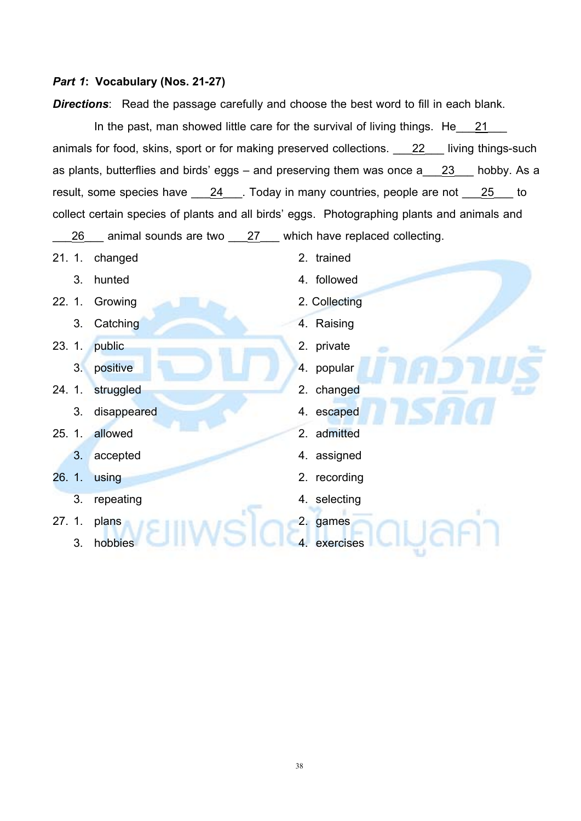#### *Part 1***: Vocabulary(Nos. 21-27)**

**Directions:** Read the passage carefully and choose the best word to fill in each blank.

In the past, man showed little care for the survival of living things. He 21 animals for food, skins, sport or for making preserved collections. <br>22 living things-such as plants, butterflies and birds' eggs – and preserving them was once a 23 hobby. As a result, some species have 24 . Today in many countries, people are not 25 to collect certain species of plants and all birds' eggs. Photographing plants and animals and

26 animal sounds are two 27 which have replaced collecting.

- 21. 1. changed 2. trained
	-
- 22. 1. Growing 2. Collecting
	- 3. Catching 2. 2012 12:30 4. Raising
- 23. 1. public 2. private
	- 3. positive 1. a contract 1. a contract 1. popular
- 24. 1. struggled 2. changed 2. changed
	- 3. disappeared 4. escaped
- 25. 1. allowed 2. admitted 2. admitted
	- 3. accepted 4. assigned
	-
	- 3. repeating 4. selecting
- 27. 1. plans 2. games
	- 3. hobbies **4.** exercises
- 
- 3. hunted 3. and 4. followed
	-
	-
	-
	-
	-
	-
	-
	-
- 26. 1. using 2. recording
	-

38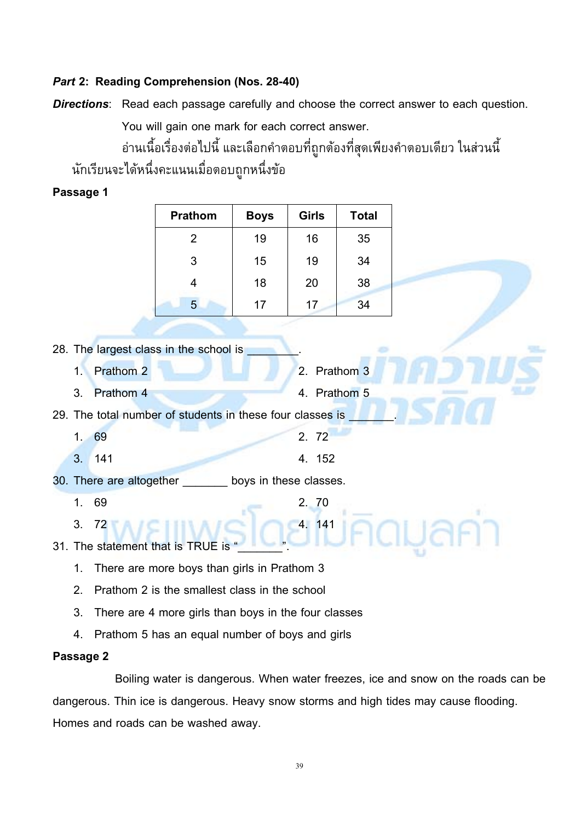#### *Part 2:* **Reading Comprehension (Nos. 28-40)**

*Directions*: Read each passage carefully and choose the correct answer to each question.

You will gain one mark for each correct answer.

้อ่านเนื้อเรื่องต่อไปนี้ และเลือกคำตอบที่ถูกต้องที่สุดเพียงคำตอบเดียว ในส่วนนี้ นักเรียนจะไดหนึ่งคะแนนเมื่อตอบถูกหนึ่งขอ

#### **Passage 1**

| <b>Prathom</b> | <b>Boys</b> | <b>Girls</b> | <b>Total</b> |
|----------------|-------------|--------------|--------------|
| 2              | 19          | 16           | 35           |
| 3              | 15          | 19           | 34           |
| 4              | 18          | 20           | 38           |
| 5              | 17          | 17           | 34           |

|                | 28. The largest class in the school is                      |              |
|----------------|-------------------------------------------------------------|--------------|
| $\mathbf{1}$ . | Prathom <sub>2</sub>                                        | 2. Prathom 3 |
| 3.             | Prathom 4                                                   | 4. Prathom 5 |
|                | 29. The total number of students in these four classes is   |              |
| 1. 69          |                                                             | 2. 72        |
| 3.             | 141                                                         | 4. 152       |
|                | 30. There are altogether ________<br>boys in these classes. |              |
| 1.             | 69                                                          | 2. 70        |
| 3.             | 72                                                          | 4. 141       |
|                | 31. The statement that is TRUE is                           |              |
| 1.             | There are more boys than girls in Prathom 3                 |              |
| 2.             | Prathom 2 is the smallest class in the school               |              |
| 3.             | There are 4 more girls than boys in the four classes        |              |
| 4.             | Prathom 5 has an equal number of boys and girls             |              |
|                |                                                             |              |

#### **Passage 2**

Boiling water is dangerous. When water freezes, ice and snow on the roads can be dangerous. Thin ice is dangerous. Heavy snow storms and high tides may cause flooding. Homes and roads can be washed away.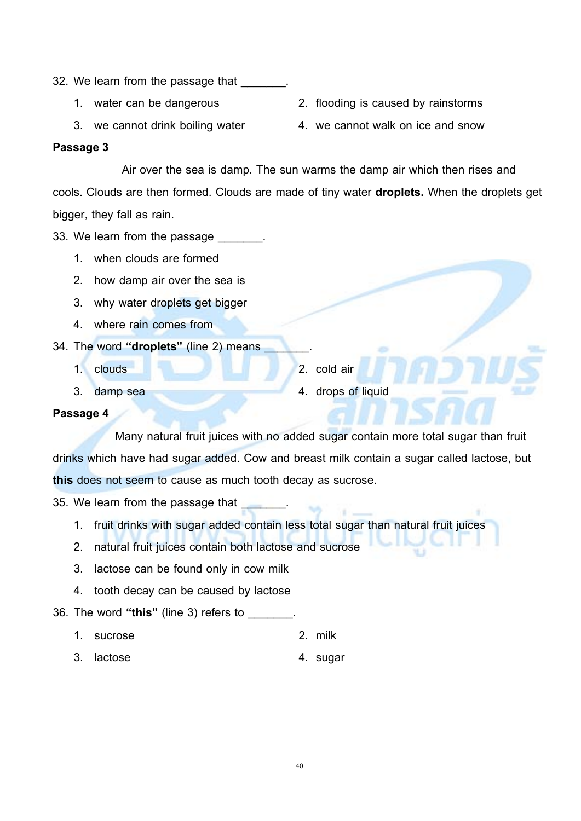- 32. We learn from the passage that
	-
	-
	- 1. water can be dangerous 2. flooding is caused by rainstorms
	- 3. we cannot drink boiling water 4. we cannot walk on ice and snow

#### **Passage 3**

Air over the sea is damp. The sun warms the damp air which then rises and cools. Clouds are then formed. Clouds are made of tiny water **droplets.** When the droplets get bigger, they fall as rain.

33. We learn from the passage

- 1. when clouds are formed
- 2. how damp air over the sea is
- 3. why water droplets get bigger
- 4. where rain comes from
- 34. The word "droplets" (line 2) means
	- 1. clouds 2. cold air
	-
- 
- 3. damp sea 4. drops of liquid

#### **Passage 4**

Many natural fruit juices with no added sugar contain more total sugar than fruit drinks which have had sugar added. Cow and breast milk contain a sugar called lactose, but **this** does not seem to cause as much tooth decay as sucrose.

35. We learn from the passage that

- 1. fruit drinks with sugar added contain less total sugar than natural fruit juices
- 2. natural fruit juices contain both lactose and sucrose
- 3. lactose can be found only in cow milk
- 4. tooth decay can be caused by lactose

#### 36. The word **"this"** (line 3) refers to \_\_\_\_\_\_\_.

- 1. sucrose 2. milk
- 3. lactose 4. sugar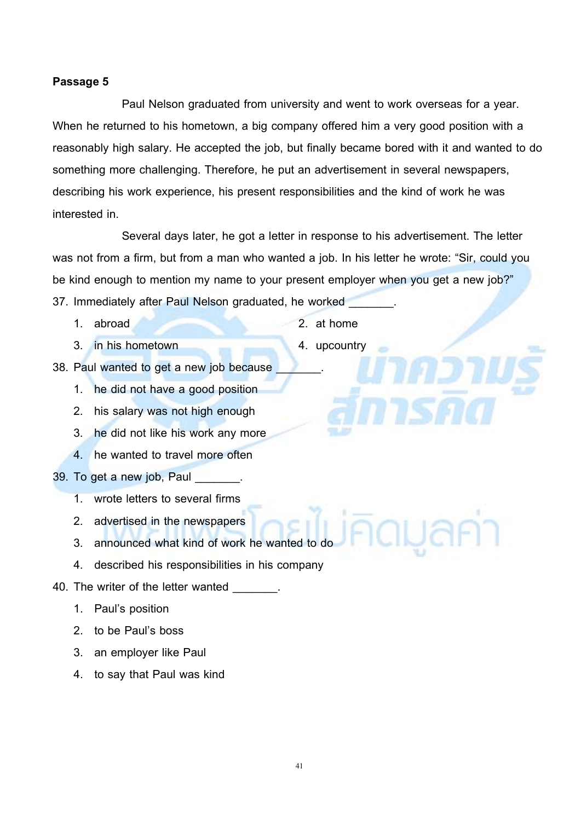#### **Passage 5**

Paul Nelson graduated from university and went to work overseas for a year. When he returned to his hometown, a big company offered him a very good position with a reasonably high salary. He accepted the job, but finally became bored with it and wanted to do something more challenging. Therefore, he put an advertisement in several newspapers, describing his work experience, his present responsibilities and the kind of work he was interested in.

Several days later, he got a letter in response to his advertisement. The letter was not from a firm, but from a man who wanted a job. In his letter he wrote: "Sir, could you be kind enough to mention my name to your present employer when you get a new job?" 37. Immediately after Paul Nelson graduated, he worked

- 
- 3. in his hometown 4. upcountry
- 1. abroad 2. at home
	-
- 38. Paul wanted to get a new job because
	- 1. he did not have a good position
	- 2. his salary was not high enough
	- 3. he did not like his work any more
	- 4. he wanted to travel more often
- 39. To get a new job, Paul
	- 1. wrote letters to several firms
	- 2. advertised in the newspapers
	- 3. announced what kind of work he wanted to do
	- 4. described his responsibilities in his company
- 40. The writer of the letter wanted  $\qquad \qquad$ .
	- 1. Paul's position
	- 2. to be Paul's boss
	- 3. an employer like Paul
	- 4. to say that Paul was kind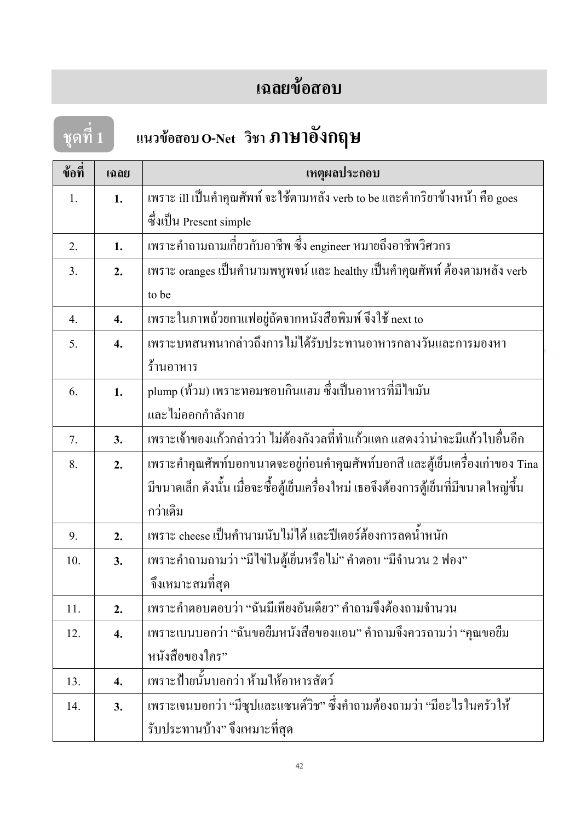### **เฉลยขอสอบ**

# **ชุดที่ 1 แนวขอสอบ O-Net วิชา ภาษาอังกฤษ**

| ข้อที่ | เฉลย               | เหตุผลประกอบ                                                                           |
|--------|--------------------|----------------------------------------------------------------------------------------|
| 1.     | 1.                 | เพราะ ill เป็นคำคุณศัพท์ จะใช้ตามหลัง verb to be และคำกริยาข้างหน้า คือ goes           |
|        |                    | ซึ่งเป็น Present simple                                                                |
| 2.     | 1.                 | เพราะคำถามถามเกี่ยวกับอาชีพ ซึ่ง engineer หมายถึงอาชีพวิศวกร                           |
| 3.     | 2.                 | เพราะ oranges เป็นคำนามพหูพจน์ และ healthy เป็นคำคุณศัพท์ ต้องตามหลัง verb             |
|        |                    | to be                                                                                  |
| 4.     | $\boldsymbol{4}$ . | เพราะในภาพถ้วยกาแฟอยู่ถัดจากหนังสือพิมพ์ จึงใช้ next to                                |
| 5.     | $\boldsymbol{4}$ . | เพราะบทสนทนากล่าวถึงการไม่ได้รับประทานอาหารกลางวันและการมองหา                          |
|        |                    | ร้านอาหาร                                                                              |
| 6.     | 1.                 | plump (ท้วม) เพราะทอมชอบกินแฮม ซึ่งเป็นอาหารที่มีไขมัน                                 |
|        |                    | และไม่ออกกำลังกาย                                                                      |
| 7.     | 3.                 | เพราะเจ้าของแก้วกล่าวว่า ไม่ต้องกังวลที่ทำแก้วแตก แสดงว่าน่าจะมีแก้วใบอื่นอีก          |
| 8.     | 2.                 | เพราะคำคุณศัพท์บอกขนาดจะอยู่ก่อนคำคุณศัพท์บอกสี และตู้เย็นเครื่องเก่าของ Tina          |
|        |                    | มีขนาดเล็ก ดังนั้น เมื่อจะซื้อตู้เย็นเครื่องใหม่ เธอจึงต้องการตู้เย็นที่มีขนาดใหญ่ขึ้น |
|        |                    | กว่าเดิม                                                                               |
| 9.     | 2.                 | เพราะ cheese เป็นคำนามนับไม่ได้ และปีเตอร์ต้องการลดน้ำหนัก                             |
| 10.    | 3.                 | เพราะคำถามถามว่า "มีไข่ในตู้เย็นหรือไม่" คำตอบ "มีจำนวน 2 ฟอง"                         |
|        |                    | จึงเหมาะสมที่สุด                                                                       |
| 11.    | 2.                 | เพราะคำตอบตอบว่า "ฉันมีเพียงอันเดียว" คำถามจึงต้องถามจำนวน                             |
| 12.    | 4.                 | เพราะเบนบอกว่า "ฉันขอยืมหนังสือของแอน" คำถามจึงควรถามว่า "คุณขอยืม                     |
|        |                    | หนังสือของใคร"                                                                         |
| 13.    | 4.                 | เพราะป้ายนั้นบอกว่า ห้ามให้อาหารสัตว์                                                  |
| 14.    | 3.                 | เพราะเจนบอกว่า "มีซุปและแซนด์วิช" ซึ่งคำถามต้องถามว่า "มีอะไรในครัวให้                 |
|        |                    | รับประทานบ้าง" จึงเหมาะที่สุด                                                          |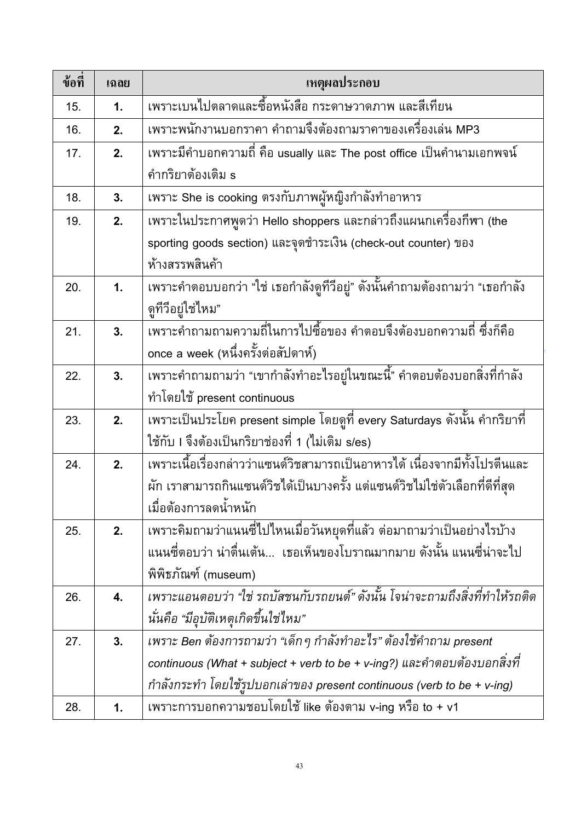| ข้อที่ | เฉลย | เหตุผลประกอบ                                                                 |
|--------|------|------------------------------------------------------------------------------|
| 15.    | 1.   | ้เพราะเบนไปตลาดและซื้อหนังสือ กระดาษวาดภาพ และสีเทียน                        |
| 16.    | 2.   | เพราะพนักงานบอกราคา คำถามจึงต้องถามราคาของเครื่องเล่น MP3                    |
| 17.    | 2.   | เพราะมีคำบอกความถี่ คือ usually และ The post office เป็นคำนามเอกพจน์         |
|        |      | คำกริยาต้องเติม s                                                            |
| 18.    | 3.   | เพราะ She is cooking ตรงกับภาพผู้หญิงกำลังทำอาหาร                            |
| 19.    | 2.   | ้เพราะในประกาศพูดว่า Hello shoppers และกล่าวถึงแผนกเครื่องกีฬา (the          |
|        |      | sporting goods section) และจุดชำระเงิน (check-out counter) ของ               |
|        |      | ห้างสรรพสินค้า                                                               |
| 20.    | 1.   | ้เพราะคำตอบบอกว่า "ใช่ เธอกำลังดูที่วีอยู่" ดังนั้นคำถามต้องถามว่า "เธอกำลัง |
|        |      | ดูทีวีอยู่ใช่ไหม"                                                            |
| 21.    | 3.   | ้เพราะคำถามถามความถี่ในการไปซื้อของ คำตอบจึงต้องบอกความถี่ ซึ่งก็คือ         |
|        |      | once a week (หนึ่งครั้งต่อสัปดาห์)                                           |
| 22.    | 3.   | เพราะคำถามถามว่า "เขากำลังทำอะไรอยู่ในขณะนี้" คำตอบต้องบอกสิ่งที่กำลัง       |
|        |      | ทำโดยใช้ present continuous                                                  |
| 23.    | 2.   | เพราะเป็นประโยค present simple โดยดูที่ every Saturdays ดังนั้น คำกริยาที่   |
|        |      | ใช้กับ I จึงต้องเป็นกริยาช่องที่ 1 (ไม่เติม s/es)                            |
| 24.    | 2.   | เพราะเนื้อเรื่องกล่าวว่าแซนด์วิชสามารถเป็นอาหารได้ เนื่องจากมีทั้งโปรตีนและ  |
|        |      | ผัก เราสามารถกินแซนด์วิชได้เป็นบางครั้ง แต่แซนด์วิชไม่ใช่ตัวเลือกที่ดีที่สุด |
|        |      | เมื่อต้องการลดน้ำหนัก                                                        |
| 25.    | 2.   | ้เพราะคิมถามว่าแนนซี่ไปไหนเมื่อวันหยุดที่แล้ว ต่อมาถามว่าเป็นอย่างไรบ้าง     |
|        |      | แนนซี่ตอบว่า น่าตื่นเต้น  เธอเห็นของโบราณมากมาย ดังนั้น แนนซี่น่าจะไป        |
|        |      | พิพิธภัณฑ์ (museum)                                                          |
| 26.    | 4.   | เพราะแอนตอบว่า "ใช่ รถบัสชนกับรถยนต์" ดังนั้น โจน่าจะถามถึงสิ่งที่ทำให้รถติด |
|        |      | นั่นคือ "มีอุบัติเหตุเกิดขึ้นใช่ไหม"                                         |
| 27.    | 3.   | เพราะ Ben ต้องการถามว่า "เด็ก ๆ กำลังทำอะไร" ต้องใช้คำถาม present            |
|        |      | continuous (What + subject + verb to be + v-ing?) และคำตอบต้องบอกสิ่งที่     |
|        |      | กำลังกระทำ โดยใช้รูปบอกเล่าของ present continuous (verb to be + v-ing)       |
| 28.    | 1.   | เพราะการบอกความชอบโดยใช้ like ต้องตาม v-ing หรือ to + v1                     |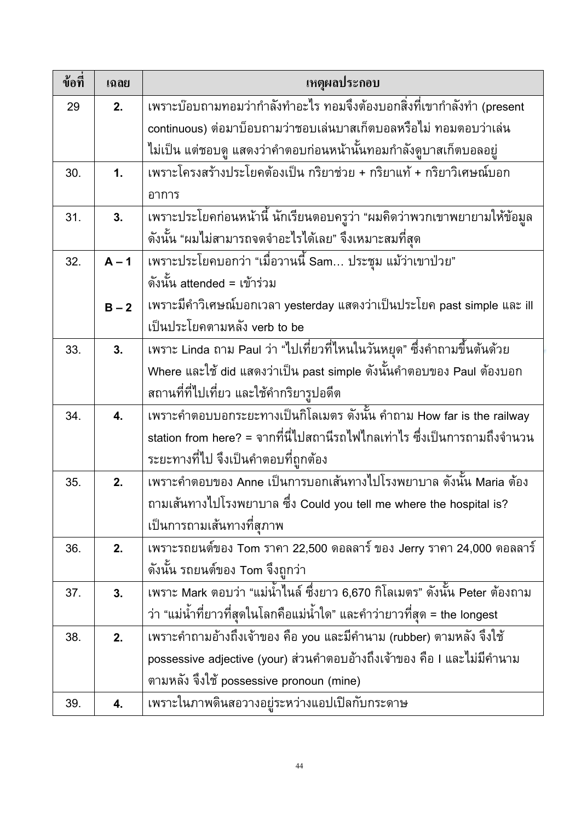| ข้อที่ | เฉลย           | เหตุผลประกอบ                                                                           |
|--------|----------------|----------------------------------------------------------------------------------------|
| 29     | 2.             | <u>์เพราะบ๊อ</u> บถามทอมว่ากำลังทำอะไร ทอมจึงต้องบอกสิ่งที่เขากำลังทำ (present         |
|        |                | continuous) ต่อมาบ็อบถามว่าชอบเล่นบาสเก็ตบอลหรือไม่ ทอมตอบว่าเล่น                      |
|        |                | ไม่เป็น แต่ชอบดู แสดงว่าคำตอบก่อนหน้านั้นทอมกำลังดูบาสเก็ตบอลอยู่                      |
| 30.    | $\mathbf{1}$ . | เพราะโครงสร้างประโยคต้องเป็น กริยาช่วย + กริยาแท้ + กริยาวิเศษณ์บอก                    |
|        |                | อาการ                                                                                  |
| 31.    | 3.             | เพราะประโยคก่อนหน้านี้ นักเรียนตอบครูว่า "ผมคิดว่าพวกเขาพยายามให้ข้อมูล                |
|        |                | ดังนั้น "ผมไม่สามารถจดจำอะไรได้เลย" จึงเหมาะสมที่สุด                                   |
| 32.    | $A - 1$        | ้เพราะประโยคบอกว่า "เมื่อวานนี้ Sam… ประชุม แม้ว่าเขาป่วย"                             |
|        |                | ดังนั้น attended = เข้าร่วม                                                            |
|        | $B - 2$        | ูเพราะมีคำวิเศษณ์บอกเวลา yesterday แสดงว่าเป็นประโยค past simple และ ill               |
|        |                | เป็นประโยคตามหลัง verb to be                                                           |
| 33.    | 3.             | ้เพราะ Linda ถาม Paul ว่า "ไปเที่ยวที่ไหนในวันหยุด <mark>" ซึ่งคำถามขึ้นต้นด้วย</mark> |
|        |                | Where และใช้ did แสดงว่าเป็น past simple ดังนั้นคำตอบของ Paul ต้องบอก                  |
|        |                | ิสถานที่ที่ไปเที่ยว และใช้คำกริยารูปอดีต                                               |
| 34.    | 4.             | ้<br>เพราะคำตอบบอกระยะทางเป็นกิโลเมตร ดังนั้น คำถาม How far is the railway             |
|        |                | station from here? = จากที่นี่ไปสถานีรถไฟไกลเท่าไร ซึ่งเป็นการถามถึงจำนวน              |
|        |                | ระยะทางที่ไป จึงเป็นคำตอบที่ถูกต้อง                                                    |
| 35.    | 2.             | เพราะคำตอบของ Anne เป็นการบอกเส้นทางไปโรงพยาบาล ดังนั้น Maria ต้อง                     |
|        |                | ถามเส้นทางไปโรงพยาบาล ซึ่ง Could you tell me where the hospital is?                    |
|        |                | เป็นการถามเส้นทางที่สุภาพ                                                              |
| 36.    | 2.             | เพราะรถยนต์ของ Tom ราคา 22,500 ดอลลาร์ ของ Jerry ราคา 24,000 ดอลลาร์                   |
|        |                | ดังนั้น รถยนต์ของ Tom จึงถูกว่า                                                        |
| 37.    | 3.             | ูเพราะ Mark ตอบว่า "แม่น้ำไนล์ ซึ่งยาว 6,670 กิโลเมตร" ดังนั้น Peter ต้องถาม           |
|        |                | ว่า "แม่น้ำที่ยาวที่สุดในโลกคือแม่น้ำใด" และคำว่ายาวที่สุด = the longest               |
| 38.    | 2.             | เพราะคำถามอ้างถึงเจ้าของ คือ you และมีคำนาม (rubber) ตามหลัง จึงใช้                    |
|        |                | possessive adjective (your) ส่วนคำตอบอ้างถึงเจ้าของ คือ I และไม่มีคำนาม                |
|        |                | ตามหลัง จึงใช้ possessive pronoun (mine)                                               |
| 39.    | 4.             | เพราะในภาพดินสอวางอยู่ระหว่างแอปเปิลกับกระดาษ                                          |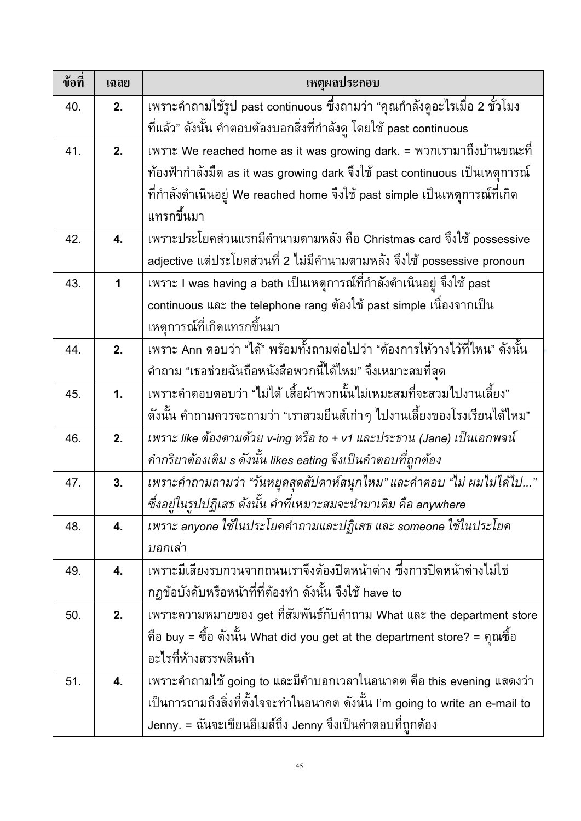| ข้อที่ | เฉลย           | เหตุผลประกอบ                                                                      |
|--------|----------------|-----------------------------------------------------------------------------------|
| 40.    | 2.             | ี เพราะคำถามใช้รูป past continuous ซึ่งถามว่า "คุณกำลังดูอะไรเมื่อ 2 ชั่วโมง      |
|        |                | ้ที่แล้ว" ดังนั้น คำตอบต้องบอกสิ่งที่กำลังดู โดยใช้ past continuous               |
| 41.    | 2.             | เพราะ We reached home as it was growing dark. = พวกเรามาถึงบ้านขณะที่             |
|        |                | ี ท้องฟ้ากำลังมีด as it was growing dark จึงใช้ past continuous เป็นเหตุการณ์     |
|        |                | ที่กำลังดำเนินอยู่ We reached home จึงใช้ past simple เป็นเหตุการณ์ที่เกิด        |
|        |                | แทรกขึ้นมา                                                                        |
| 42.    | 4.             | เพราะประโยคส่วนแรกมีคำนามตามหลัง คือ Christmas card จึงใช้ possessive             |
|        |                | adjective แต่ประโยคส่วนที่ 2 ไม่มีคำนามตามหลัง จึงใช้ possessive pronoun          |
| 43.    | 1              | เพราะ I was having a bath เป็นเหตุการณ์ที่กำลังดำเนินอยู่ จึงใช้ past             |
|        |                | continuous และ the telephone rang ต้องใช้ past simple เนื่องจากเป็น               |
|        |                | เหตุการณ์ที่เกิดแทรกขึ้นมา                                                        |
| 44.    | 2.             | ้<br>เพราะ Ann ตอบว่า "ได้" พร้อมทั้งถามต่อไปว่า "ต้องการให้วางไว้ที่ไหน" ดังนั้น |
|        |                | ้คำถาม "เธอช่วยฉันถือหนังสือพวกนี้ได้ไหม" จึงเหมาะสมที่สุด                        |
| 45.    | $\mathbf{1}$ . | ้เพราะคำตอบตอบว่า "ไม่ได้ เสื้อผ้าพวกนั้นไม่เหมะสมที่จะสวมไปงานเลี้ยง"            |
|        |                | ้ดังนั้น คำถามควรจะถามว่า "เราสวมยีนส์เก่าๆ ไปงานเลี้ยงของโรงเรียนได้ไหม"         |
| 46.    | 2.             | เพราะ like ต้องตามด้วย v-ing หรือ to + v1 และประธาน (Jane) เป็นเอกพจน์            |
|        |                | คำกริยาต้องเติม s ดังนั้น likes eating จึงเป็นคำตอบที่ถูกต้อง                     |
| 47.    | 3.             | เพราะคำถามถามว่า "วันหยุดสุดสัปดาห์สนุกไหม" และคำตอบ "ไม่ ผมไม่ได้ไป"             |
|        |                | ซึ่งอยู่ในรูปปฏิเสธ ดังนั้น คำที่เหมาะสมจะนำมาเติม คือ anywhere                   |
| 48.    | 4.             | เพราะ anyone ใช้ในประโยคคำถามและปฏิเสธ และ someone ใช้ในประโยค                    |
|        |                | บอกเล่า                                                                           |
| 49.    | 4.             | เพราะมีเสียงรบกวนจากถนนเราจึงต้องปิดหน้าต่าง ซึ่งการปิดหน้าต่างไม่ใช่             |
|        |                | ึกฎข้อบังคับหรือหน้าที่ที่ต้องทำ ดังนั้น จึงใช้ have to                           |
| 50.    | 2.             | เพราะความหมายของ get ที่สัมพันธ์กับคำถาม What และ the department store            |
|        |                | คือ buy = ซื้อ ดังนั้น What did you get at the department store? = คุณซื้อ        |
|        |                | อะไรที่ห้างสรรพสินค้า                                                             |
| 51.    | 4.             | เพราะคำถามใช้ going to และมีคำบอกเวลาในอนาคต คือ this evening แสดงว่า             |
|        |                | เป็นการถามถึงสิ่งที่ตั้งใจจะทำในอนาคต ดังนั้น I'm going to write an e-mail to     |
|        |                | Jenny. = ฉันจะเขียนอีเมล์ถึง Jenny จึงเป็นคำตอบที่ถูกต้อง                         |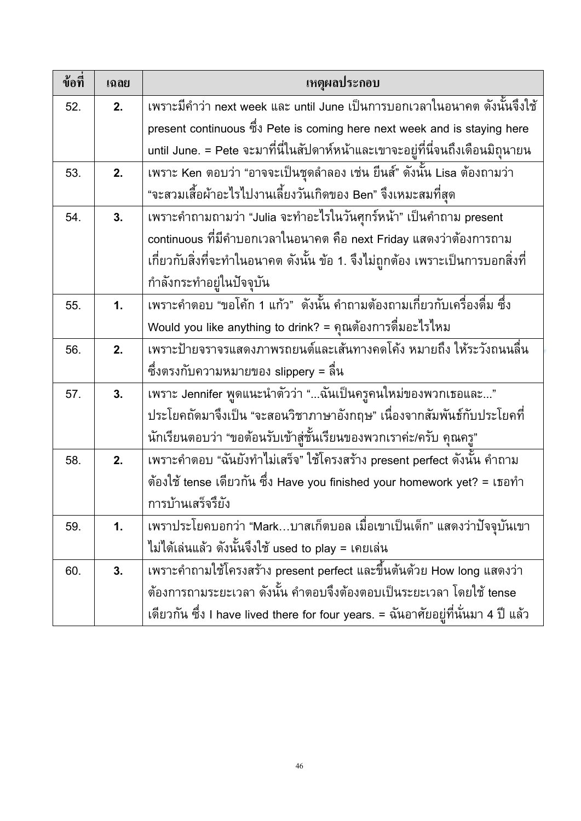| ข้อที่ | เฉลย          | เหตุผลประกอบ                                                                       |
|--------|---------------|------------------------------------------------------------------------------------|
| 52.    | 2.            | ูเพราะมีคำว่า next week และ until June เป็นการบอกเวลาในอนาคต ดังนั้นจึงใช้         |
|        |               | present continuous ซึ่ง Pete is coming here next week and is staying here          |
|        |               | until June. = Pete จะมาที่นี่ในสัปดาห์หน้าและเขาจะอยู่ที่นี่จนถึงเดือนมิถุนายน     |
| 53.    | 2.            | ู<br>เพราะ Ken ตอบว่า "อาจจะเป็นชุดลำลอง เช่น ยืนส์" ดังนั้น Lisa ต้องถามว่า       |
|        |               | "จะสวมเสื้อผ้าอะไรไปงานเลี้ยงวันเกิดของ Ben" จึงเหมะสมที่สุด                       |
| 54.    | 3.            | เพราะคำถามถามว่า "Julia จะทำอะไรในวันศุกร์หน้า" เป็นคำถาม present                  |
|        |               | continuous ที่มีคำบอกเวลาในอนาคต คือ next Friday แสดงว่าต้องการถาม                 |
|        |               | เกี่ยวกับสิ่งที่จะทำในอนาคต ดังนั้น ข้อ 1. จึงไม่ถูกต้อง เพราะเป็นการบอกสิ่งที่    |
|        |               | กำลังกระทำอยู่ในปัจจุบัน                                                           |
| 55.    | $\mathbf 1$ . | ้เพราะคำตอบ "ขอโค้ก 1 แก้ว"  ดังนั้น คำถามต้องถามเกี่ยวกับเครื่องดื่ม ซึ่ง         |
|        |               | Would you like anything to drink? = คุณต้องการดื่มอะไรไหม                          |
| 56.    | 2.            | เพราะป้ายจราจรแสดงภาพรถยนต์และเส <sup>ิ</sup> ้นทางคดโค้ง หมายถึง ให้ระวังถนนลื่น  |
|        |               | ซึ่งตรงกับความหมายของ slippery = ลืน                                               |
| 57.    | 3.            | ้เพราะ Jennifer พูดแนะนำตัวว่า "ฉันเป็นครูคนใหม่ของพวกเธอและ"                      |
|        |               | ประโยคถัดมาจึงเป็น "จะสอนวิชาภาษาอังกฤษ" เนื่องจากสัมพันธ์กับประโยคที่             |
|        |               | นักเรียนตอบว่า "ขอต้อนรับเข้าสู่ชั้นเรียนของพวกเราค่ะ/ครับ คุณครู"                 |
| 58.    | 2.            | ้<br>เพราะคำตอบ "ฉันยังทำไม่เสร็จ" ใช้โครงสร้าง present perfect ดังนั้น คำถาม      |
|        |               | ต้องใช้ tense เดียวกัน ซึ่ง Have you finished your homework yet? = เธอทำ           |
|        |               | การบ้านเสร็จรึยัง                                                                  |
| 59.    | 1.            | ้เพราประโยคบอกว่า "Mark…บาสเก็ตบอล เมื่อเขาเป็นเด็ก" แสดงว่าปัจจุบันเขา            |
|        |               | ไม่ได้เล่นแล้ว ดังนั้นจึงใช้ used to play = เคยเล่น                                |
| 60.    | 3.            | เพราะคำถามใช้โครงสร้าง present perfect และขึ้นต้นด้วย How long แสดงว่า             |
|        |               | ต้องการถามระยะเวลา ดังนั้น คำตอบจึงต้องตอบเป็นระยะเวลา โดยใช้ tense                |
|        |               | เดียวกัน ซึ่ง I have lived there for four years. = ฉันอาศัยอยู่ที่นั่นมา 4 ปี แล้ว |